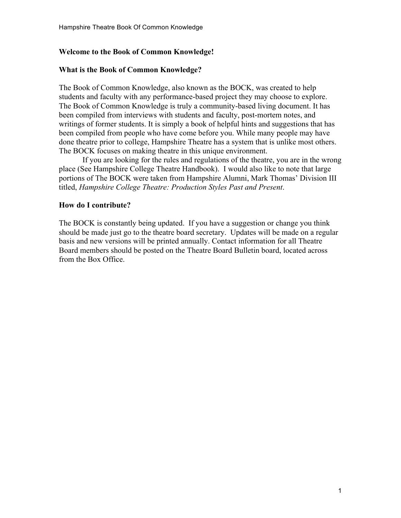# **Welcome to the Book of Common Knowledge!**

## **What is the Book of Common Knowledge?**

The Book of Common Knowledge, also known as the BOCK, was created to help students and faculty with any performance-based project they may choose to explore. The Book of Common Knowledge is truly a community-based living document. It has been compiled from interviews with students and faculty, post-mortem notes, and writings of former students. It is simply a book of helpful hints and suggestions that has been compiled from people who have come before you. While many people may have done theatre prior to college, Hampshire Theatre has a system that is unlike most others. The BOCK focuses on making theatre in this unique environment.

If you are looking for the rules and regulations of the theatre, you are in the wrong place (See Hampshire College Theatre Handbook). I would also like to note that large portions of The BOCK were taken from Hampshire Alumni, Mark Thomas' Division III titled, *Hampshire College Theatre: Production Styles Past and Present*.

# **How do I contribute?**

The BOCK is constantly being updated. If you have a suggestion or change you think should be made just go to the theatre board secretary. Updates will be made on a regular basis and new versions will be printed annually. Contact information for all Theatre Board members should be posted on the Theatre Board Bulletin board, located across from the Box Office.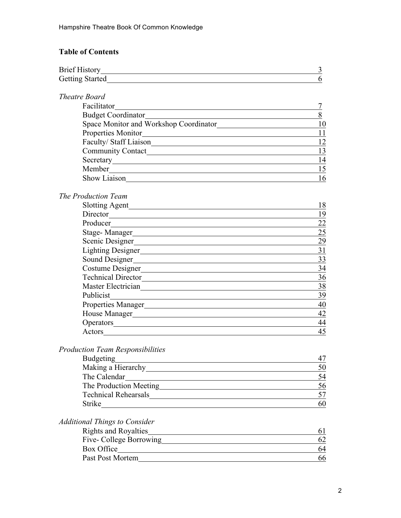# **Table of Contents**

|                                                                                                                                                                                                                                | 3                |
|--------------------------------------------------------------------------------------------------------------------------------------------------------------------------------------------------------------------------------|------------------|
| Getting Started                                                                                                                                                                                                                | 6                |
| Theatre Board                                                                                                                                                                                                                  |                  |
| Facilitator                                                                                                                                                                                                                    | $\boldsymbol{7}$ |
| <b>Budget Coordinator</b>                                                                                                                                                                                                      | 8                |
| Space Monitor and Workshop Coordinator                                                                                                                                                                                         | 10               |
| Properties Monitor                                                                                                                                                                                                             | 11               |
|                                                                                                                                                                                                                                | 12               |
|                                                                                                                                                                                                                                | 13               |
|                                                                                                                                                                                                                                | 14               |
| Member                                                                                                                                                                                                                         | 15               |
| Show Liaison                                                                                                                                                                                                                   | 16               |
| The Production Team                                                                                                                                                                                                            |                  |
|                                                                                                                                                                                                                                | 18               |
| Director                                                                                                                                                                                                                       | 19               |
| Producer                                                                                                                                                                                                                       | 22               |
|                                                                                                                                                                                                                                | 25               |
|                                                                                                                                                                                                                                | 29               |
| Lighting Designer                                                                                                                                                                                                              | 31               |
| Sound Designer                                                                                                                                                                                                                 | 33               |
| Costume Designer                                                                                                                                                                                                               | 34               |
| Technical Director                                                                                                                                                                                                             | 36               |
| Master Electrician                                                                                                                                                                                                             | 38               |
| Publicist<br><u> 1989 - Johann Stein, mars and de Brazilian (b. 1989)</u>                                                                                                                                                      | 39               |
|                                                                                                                                                                                                                                | 40               |
|                                                                                                                                                                                                                                | 42               |
| Operators expression of the state of the state of the state of the state of the state of the state of the state of the state of the state of the state of the state of the state of the state of the state of the state of the | 44               |
| Actors <u>example</u>                                                                                                                                                                                                          | 45               |
| <b>Production Team Responsibilities</b>                                                                                                                                                                                        |                  |
| <b>Budgeting</b>                                                                                                                                                                                                               | 47               |
|                                                                                                                                                                                                                                | 50               |
| The Calendar<br><u> 1989 - John Stein, Amerikaansk politiker (</u>                                                                                                                                                             | 54               |
| The Production Meeting                                                                                                                                                                                                         | 56               |
| <b>Technical Rehearsals</b>                                                                                                                                                                                                    | 57               |

# *Additional Things to Consider*

| <b>Rights and Royalties</b> |    |
|-----------------------------|----|
| Five- College Borrowing     |    |
| Box Office                  | 64 |
| Past Post Mortem            | 66 |
|                             |    |

Strike 60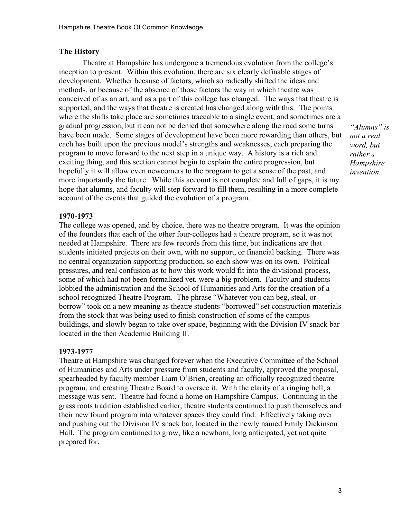#### **The History**

Theatre at Hampshire has undergone a tremendous evolution from the college's inception to present. Within this evolution, there are six clearly definable stages of development. Whether because of factors, which so radically shifted the ideas and methods, or because of the absence of those factors the way in which theatre was conceived of as an art, and as a part of this college has changed. The ways that theatre is supported, and the ways that theatre is created has changed along with this. The points where the shifts take place are sometimes traceable to a single event, and sometimes are a gradual progression, but it can not be denied that somewhere along the road some turns have been made. Some stages of development have been more rewarding than others, but each has built upon the previous model's strengths and weaknesses; each preparing the program to move forward to the next step in a unique way. A history is a rich and exciting thing, and this section cannot begin to explain the entire progression, but hopefully it will allow even newcomers to the program to get a sense of the past, and more importantly the future. While this account is not complete and full of gaps, it is my hope that alumns, and faculty will step forward to fill them, resulting in a more complete account of the events that guided the evolution of a program.

*"Alumns" is not a real word, but rather a Hampshire invention.*

#### **1970-1973**

The college was opened, and by choice, there was no theatre program. It was the opinion of the founders that each of the other four-colleges had a theatre program, so it was not needed at Hampshire. There are few records from this time, but indications are that students initiated projects on their own, with no support, or financial backing. There was no central organization supporting production, so each show was on its own. Political pressures, and real confusion as to how this work would fit into the divisional process, some of which had not been formalized yet, were a big problem. Faculty and students lobbied the administration and the School of Humanities and Arts for the creation of a school recognized Theatre Program. The phrase "Whatever you can beg, steal, or borrow" took on a new meaning as theatre students "borrowed" set construction materials from the stock that was being used to finish construction of some of the campus buildings, and slowly began to take over space, beginning with the Division IV snack bar located in the then Academic Building II.

#### **1973-1977**

Theatre at Hampshire was changed forever when the Executive Committee of the School of Humanities and Arts under pressure from students and faculty, approved the proposal, spearheaded by faculty member Liam O'Brien, creating an officially recognized theatre program, and creating Theatre Board to oversee it. With the clarity of a ringing bell, a message was sent. Theatre had found a home on Hampshire Campus. Continuing in the grass roots tradition established earlier, theatre students continued to push themselves and their new found program into whatever spaces they could find. Effectively taking over and pushing out the Division IV snack bar, located in the newly named Emily Dickinson Hall. The program continued to grow, like a newborn, long anticipated, yet not quite prepared for.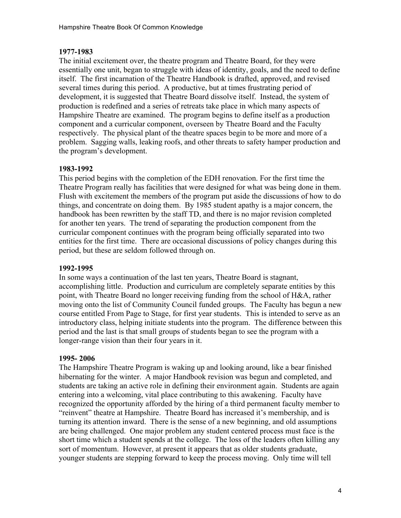# **1977-1983**

The initial excitement over, the theatre program and Theatre Board, for they were essentially one unit, began to struggle with ideas of identity, goals, and the need to define itself. The first incarnation of the Theatre Handbook is drafted, approved, and revised several times during this period. A productive, but at times frustrating period of development, it is suggested that Theatre Board dissolve itself. Instead, the system of production is redefined and a series of retreats take place in which many aspects of Hampshire Theatre are examined. The program begins to define itself as a production component and a curricular component, overseen by Theatre Board and the Faculty respectively. The physical plant of the theatre spaces begin to be more and more of a problem. Sagging walls, leaking roofs, and other threats to safety hamper production and the program's development.

### **1983-1992**

This period begins with the completion of the EDH renovation. For the first time the Theatre Program really has facilities that were designed for what was being done in them. Flush with excitement the members of the program put aside the discussions of how to do things, and concentrate on doing them. By 1985 student apathy is a major concern, the handbook has been rewritten by the staff TD, and there is no major revision completed for another ten years. The trend of separating the production component from the curricular component continues with the program being officially separated into two entities for the first time. There are occasional discussions of policy changes during this period, but these are seldom followed through on.

#### **1992-1995**

In some ways a continuation of the last ten years, Theatre Board is stagnant, accomplishing little. Production and curriculum are completely separate entities by this point, with Theatre Board no longer receiving funding from the school of H&A, rather moving onto the list of Community Council funded groups. The Faculty has begun a new course entitled From Page to Stage, for first year students. This is intended to serve as an introductory class, helping initiate students into the program. The difference between this period and the last is that small groups of students began to see the program with a longer-range vision than their four years in it.

#### **1995- 2006**

The Hampshire Theatre Program is waking up and looking around, like a bear finished hibernating for the winter. A major Handbook revision was begun and completed, and students are taking an active role in defining their environment again. Students are again entering into a welcoming, vital place contributing to this awakening. Faculty have recognized the opportunity afforded by the hiring of a third permanent faculty member to "reinvent" theatre at Hampshire. Theatre Board has increased it's membership, and is turning its attention inward. There is the sense of a new beginning, and old assumptions are being challenged. One major problem any student centered process must face is the short time which a student spends at the college. The loss of the leaders often killing any sort of momentum. However, at present it appears that as older students graduate, younger students are stepping forward to keep the process moving. Only time will tell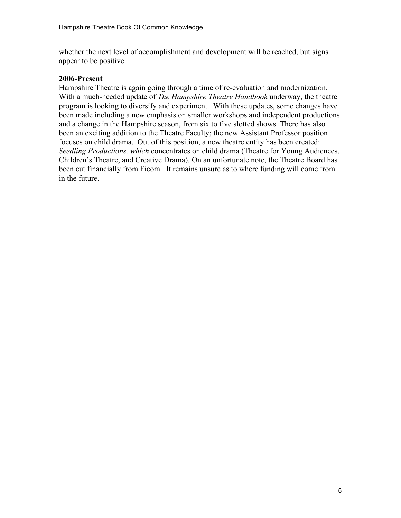whether the next level of accomplishment and development will be reached, but signs appear to be positive.

#### **2006-Present**

Hampshire Theatre is again going through a time of re-evaluation and modernization. With a much-needed update of *The Hampshire Theatre Handbook* underway, the theatre program is looking to diversify and experiment. With these updates, some changes have been made including a new emphasis on smaller workshops and independent productions and a change in the Hampshire season, from six to five slotted shows. There has also been an exciting addition to the Theatre Faculty; the new Assistant Professor position focuses on child drama. Out of this position, a new theatre entity has been created: *Seedling Productions, which* concentrates on child drama (Theatre for Young Audiences, Children's Theatre, and Creative Drama). On an unfortunate note, the Theatre Board has been cut financially from Ficom. It remains unsure as to where funding will come from in the future.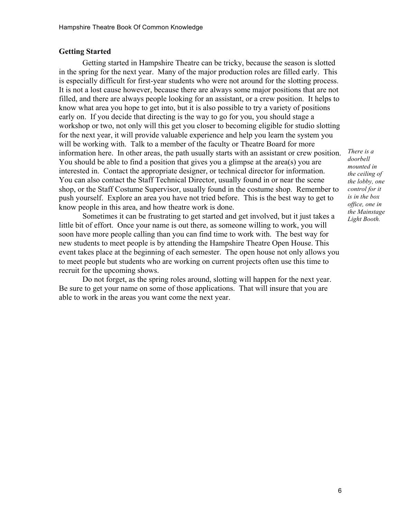#### **Getting Started**

Getting started in Hampshire Theatre can be tricky, because the season is slotted in the spring for the next year. Many of the major production roles are filled early. This is especially difficult for first-year students who were not around for the slotting process. It is not a lost cause however, because there are always some major positions that are not filled, and there are always people looking for an assistant, or a crew position. It helps to know what area you hope to get into, but it is also possible to try a variety of positions early on. If you decide that directing is the way to go for you, you should stage a workshop or two, not only will this get you closer to becoming eligible for studio slotting for the next year, it will provide valuable experience and help you learn the system you will be working with. Talk to a member of the faculty or Theatre Board for more information here. In other areas, the path usually starts with an assistant or crew position. You should be able to find a position that gives you a glimpse at the area(s) you are interested in. Contact the appropriate designer, or technical director for information. You can also contact the Staff Technical Director, usually found in or near the scene shop, or the Staff Costume Supervisor, usually found in the costume shop. Remember to push yourself. Explore an area you have not tried before. This is the best way to get to know people in this area, and how theatre work is done.

Sometimes it can be frustrating to get started and get involved, but it just takes a little bit of effort. Once your name is out there, as someone willing to work, you will soon have more people calling than you can find time to work with. The best way for new students to meet people is by attending the Hampshire Theatre Open House. This event takes place at the beginning of each semester. The open house not only allows you to meet people but students who are working on current projects often use this time to recruit for the upcoming shows.

Do not forget, as the spring roles around, slotting will happen for the next year. Be sure to get your name on some of those applications. That will insure that you are able to work in the areas you want come the next year.

*There is a doorbell mounted in the ceiling of the lobby, one control for it is in the box office, one in the Mainstage Light Booth.*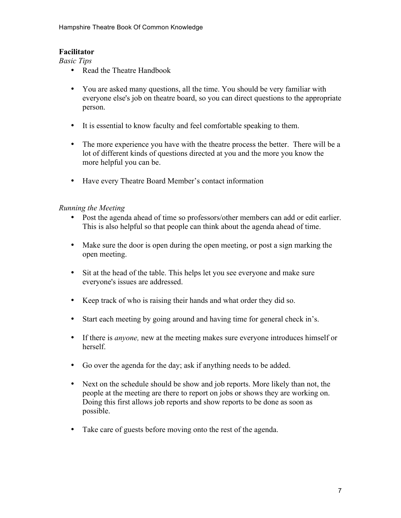# **Facilitator**

*Basic Tips*

- Read the Theatre Handbook
- You are asked many questions, all the time. You should be very familiar with everyone else's job on theatre board, so you can direct questions to the appropriate person.
- It is essential to know faculty and feel comfortable speaking to them.
- The more experience you have with the theatre process the better. There will be a lot of different kinds of questions directed at you and the more you know the more helpful you can be.
- Have every Theatre Board Member's contact information

# *Running the Meeting*

- Post the agenda ahead of time so professors/other members can add or edit earlier. This is also helpful so that people can think about the agenda ahead of time.
- Make sure the door is open during the open meeting, or post a sign marking the open meeting.
- Sit at the head of the table. This helps let you see everyone and make sure everyone's issues are addressed.
- Keep track of who is raising their hands and what order they did so.
- Start each meeting by going around and having time for general check in's.
- If there is *anyone,* new at the meeting makes sure everyone introduces himself or herself.
- Go over the agenda for the day; ask if anything needs to be added.
- Next on the schedule should be show and job reports. More likely than not, the people at the meeting are there to report on jobs or shows they are working on. Doing this first allows job reports and show reports to be done as soon as possible.
- Take care of guests before moving onto the rest of the agenda.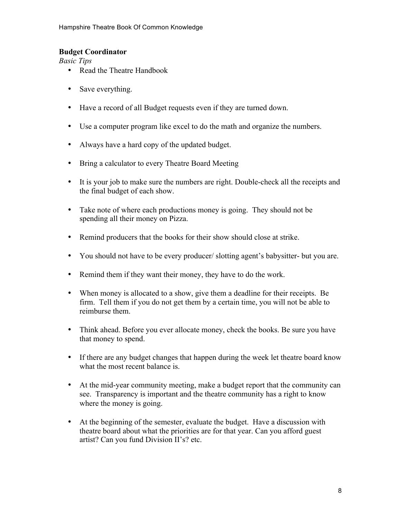# **Budget Coordinator**

*Basic Tips*

- Read the Theatre Handbook
- Save everything.
- Have a record of all Budget requests even if they are turned down.
- Use a computer program like excel to do the math and organize the numbers.
- Always have a hard copy of the updated budget.
- Bring a calculator to every Theatre Board Meeting
- It is your job to make sure the numbers are right. Double-check all the receipts and the final budget of each show.
- Take note of where each productions money is going. They should not be spending all their money on Pizza.
- Remind producers that the books for their show should close at strike.
- You should not have to be every producer/ slotting agent's babysitter- but you are.
- Remind them if they want their money, they have to do the work.
- When money is allocated to a show, give them a deadline for their receipts. Be firm. Tell them if you do not get them by a certain time, you will not be able to reimburse them.
- Think ahead. Before you ever allocate money, check the books. Be sure you have that money to spend.
- If there are any budget changes that happen during the week let theatre board know what the most recent balance is.
- At the mid-year community meeting, make a budget report that the community can see. Transparency is important and the theatre community has a right to know where the money is going.
- At the beginning of the semester, evaluate the budget. Have a discussion with theatre board about what the priorities are for that year. Can you afford guest artist? Can you fund Division II's? etc.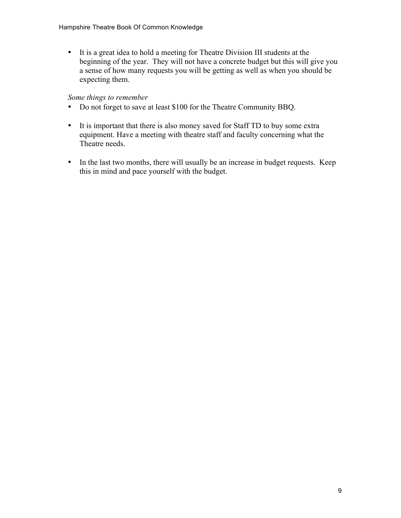• It is a great idea to hold a meeting for Theatre Division III students at the beginning of the year. They will not have a concrete budget but this will give you a sense of how many requests you will be getting as well as when you should be expecting them.

#### *Some things to remember*

- Do not forget to save at least \$100 for the Theatre Community BBQ.
- It is important that there is also money saved for Staff TD to buy some extra equipment. Have a meeting with theatre staff and faculty concerning what the Theatre needs.
- In the last two months, there will usually be an increase in budget requests. Keep this in mind and pace yourself with the budget.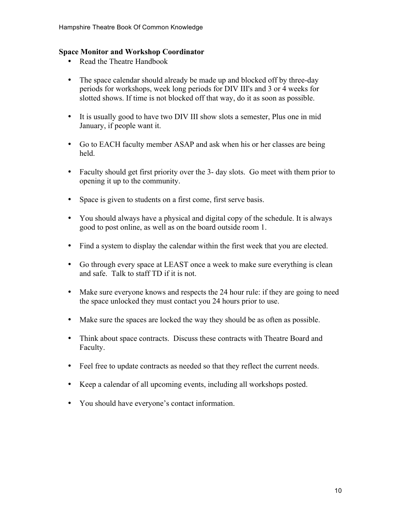### **Space Monitor and Workshop Coordinator**

- Read the Theatre Handbook
- The space calendar should already be made up and blocked off by three-day periods for workshops, week long periods for DIV III's and 3 or 4 weeks for slotted shows. If time is not blocked off that way, do it as soon as possible.
- It is usually good to have two DIV III show slots a semester, Plus one in mid January, if people want it.
- Go to EACH faculty member ASAP and ask when his or her classes are being held.
- Faculty should get first priority over the 3- day slots. Go meet with them prior to opening it up to the community.
- Space is given to students on a first come, first serve basis.
- You should always have a physical and digital copy of the schedule. It is always good to post online, as well as on the board outside room 1.
- Find a system to display the calendar within the first week that you are elected.
- Go through every space at LEAST once a week to make sure everything is clean and safe. Talk to staff TD if it is not.
- Make sure everyone knows and respects the 24 hour rule: if they are going to need the space unlocked they must contact you 24 hours prior to use.
- Make sure the spaces are locked the way they should be as often as possible.
- Think about space contracts. Discuss these contracts with Theatre Board and Faculty.
- Feel free to update contracts as needed so that they reflect the current needs.
- Keep a calendar of all upcoming events, including all workshops posted.
- You should have everyone's contact information.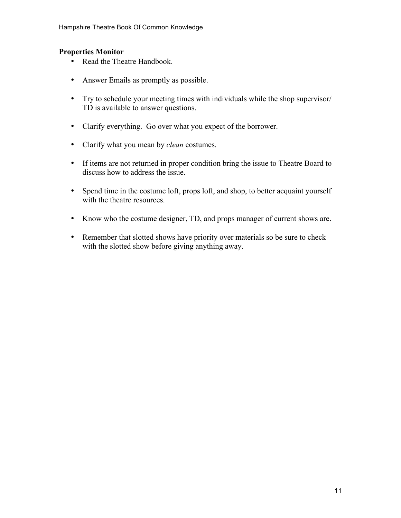### **Properties Monitor**

- Read the Theatre Handbook.
- Answer Emails as promptly as possible.
- Try to schedule your meeting times with individuals while the shop supervisor/ TD is available to answer questions.
- Clarify everything. Go over what you expect of the borrower.
- Clarify what you mean by *clean* costumes.
- If items are not returned in proper condition bring the issue to Theatre Board to discuss how to address the issue.
- Spend time in the costume loft, props loft, and shop, to better acquaint yourself with the theatre resources.
- Know who the costume designer, TD, and props manager of current shows are.
- Remember that slotted shows have priority over materials so be sure to check with the slotted show before giving anything away.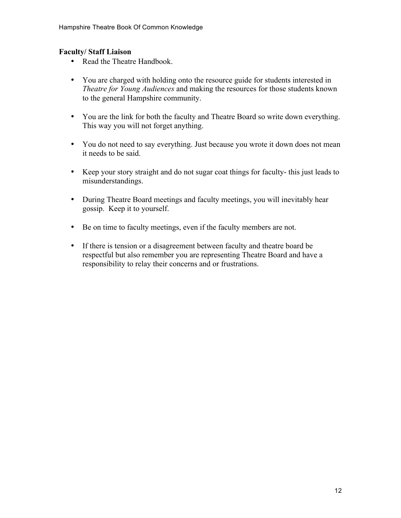### **Faculty/ Staff Liaison**

- Read the Theatre Handbook.
- You are charged with holding onto the resource guide for students interested in *Theatre for Young Audiences* and making the resources for those students known to the general Hampshire community.
- You are the link for both the faculty and Theatre Board so write down everything. This way you will not forget anything.
- You do not need to say everything. Just because you wrote it down does not mean it needs to be said.
- Keep your story straight and do not sugar coat things for faculty- this just leads to misunderstandings.
- During Theatre Board meetings and faculty meetings, you will inevitably hear gossip. Keep it to yourself.
- Be on time to faculty meetings, even if the faculty members are not.
- If there is tension or a disagreement between faculty and theatre board be respectful but also remember you are representing Theatre Board and have a responsibility to relay their concerns and or frustrations.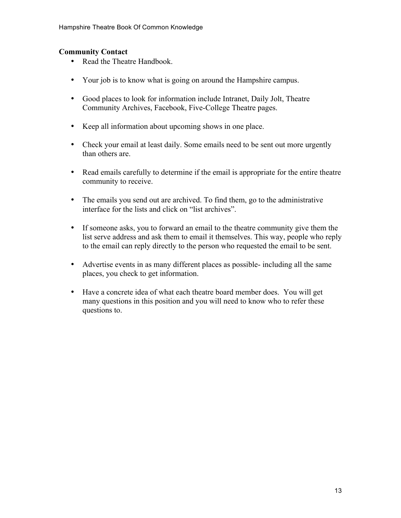## **Community Contact**

- Read the Theatre Handbook.
- Your job is to know what is going on around the Hampshire campus.
- Good places to look for information include Intranet, Daily Jolt, Theatre Community Archives, Facebook, Five-College Theatre pages.
- Keep all information about upcoming shows in one place.
- Check your email at least daily. Some emails need to be sent out more urgently than others are.
- Read emails carefully to determine if the email is appropriate for the entire theatre community to receive.
- The emails you send out are archived. To find them, go to the administrative interface for the lists and click on "list archives".
- If someone asks, you to forward an email to the theatre community give them the list serve address and ask them to email it themselves. This way, people who reply to the email can reply directly to the person who requested the email to be sent.
- Advertise events in as many different places as possible- including all the same places, you check to get information.
- Have a concrete idea of what each theatre board member does. You will get many questions in this position and you will need to know who to refer these questions to.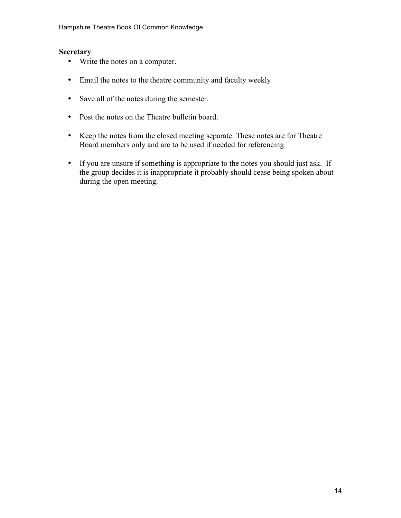#### **Secretary**

- Write the notes on a computer.
- Email the notes to the theatre community and faculty weekly
- Save all of the notes during the semester.
- Post the notes on the Theatre bulletin board.
- Keep the notes from the closed meeting separate. These notes are for Theatre Board members only and are to be used if needed for referencing.
- If you are unsure if something is appropriate to the notes you should just ask. If the group decides it is inappropriate it probably should cease being spoken about during the open meeting.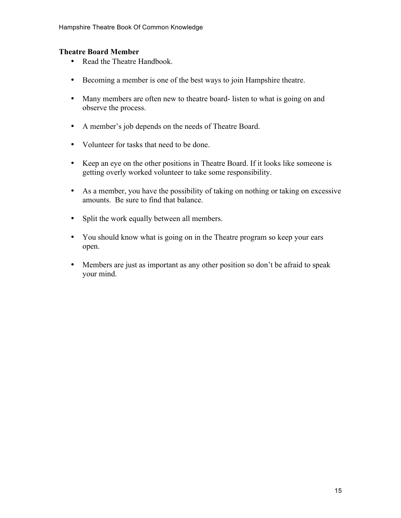### **Theatre Board Member**

- Read the Theatre Handbook.
- Becoming a member is one of the best ways to join Hampshire theatre.
- Many members are often new to theatre board-listen to what is going on and observe the process.
- A member's job depends on the needs of Theatre Board.
- Volunteer for tasks that need to be done.
- Keep an eye on the other positions in Theatre Board. If it looks like someone is getting overly worked volunteer to take some responsibility.
- As a member, you have the possibility of taking on nothing or taking on excessive amounts. Be sure to find that balance.
- Split the work equally between all members.
- You should know what is going on in the Theatre program so keep your ears open.
- Members are just as important as any other position so don't be afraid to speak your mind.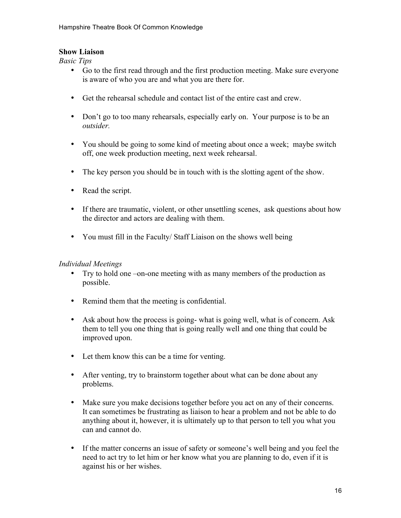# **Show Liaison**

*Basic Tips*

- Go to the first read through and the first production meeting. Make sure everyone is aware of who you are and what you are there for.
- Get the rehearsal schedule and contact list of the entire cast and crew.
- Don't go to too many rehearsals, especially early on. Your purpose is to be an *outsider.*
- You should be going to some kind of meeting about once a week; maybe switch off, one week production meeting, next week rehearsal.
- The key person you should be in touch with is the slotting agent of the show.
- Read the script.
- If there are traumatic, violent, or other unsettling scenes, ask questions about how the director and actors are dealing with them.
- You must fill in the Faculty/Staff Liaison on the shows well being

# *Individual Meetings*

- Try to hold one –on-one meeting with as many members of the production as possible.
- Remind them that the meeting is confidential.
- Ask about how the process is going- what is going well, what is of concern. Ask them to tell you one thing that is going really well and one thing that could be improved upon.
- Let them know this can be a time for venting.
- After venting, try to brainstorm together about what can be done about any problems.
- Make sure you make decisions together before you act on any of their concerns. It can sometimes be frustrating as liaison to hear a problem and not be able to do anything about it, however, it is ultimately up to that person to tell you what you can and cannot do.
- If the matter concerns an issue of safety or someone's well being and you feel the need to act try to let him or her know what you are planning to do, even if it is against his or her wishes.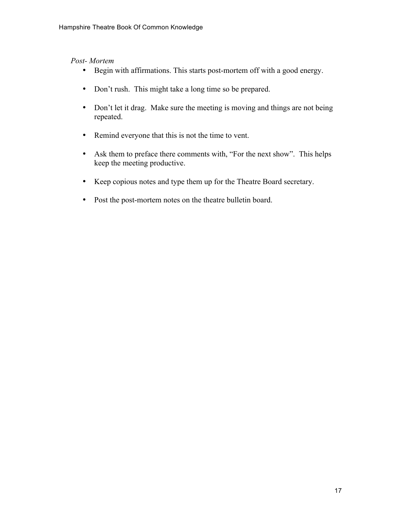### *Post- Mortem*

- Begin with affirmations. This starts post-mortem off with a good energy.
- Don't rush. This might take a long time so be prepared.
- Don't let it drag. Make sure the meeting is moving and things are not being repeated.
- Remind everyone that this is not the time to vent.
- Ask them to preface there comments with, "For the next show". This helps keep the meeting productive.
- Keep copious notes and type them up for the Theatre Board secretary.
- Post the post-mortem notes on the theatre bulletin board.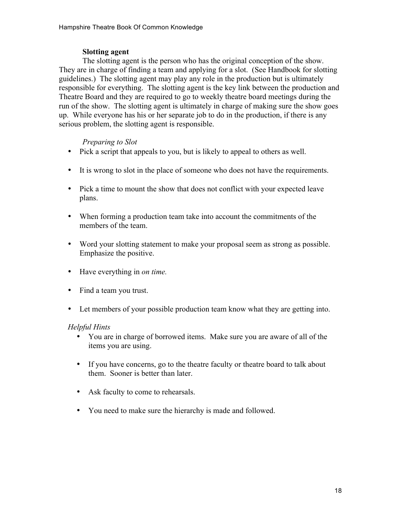# **Slotting agent**

The slotting agent is the person who has the original conception of the show. They are in charge of finding a team and applying for a slot. (See Handbook for slotting guidelines.) The slotting agent may play any role in the production but is ultimately responsible for everything. The slotting agent is the key link between the production and Theatre Board and they are required to go to weekly theatre board meetings during the run of the show. The slotting agent is ultimately in charge of making sure the show goes up. While everyone has his or her separate job to do in the production, if there is any serious problem, the slotting agent is responsible.

# *Preparing to Slot*

- Pick a script that appeals to you, but is likely to appeal to others as well.
- It is wrong to slot in the place of someone who does not have the requirements.
- Pick a time to mount the show that does not conflict with your expected leave plans.
- When forming a production team take into account the commitments of the members of the team.
- Word your slotting statement to make your proposal seem as strong as possible. Emphasize the positive.
- Have everything in *on time.*
- Find a team you trust.
- Let members of your possible production team know what they are getting into.

# *Helpful Hints*

- You are in charge of borrowed items. Make sure you are aware of all of the items you are using.
- If you have concerns, go to the theatre faculty or theatre board to talk about them. Sooner is better than later.
- Ask faculty to come to rehearsals.
- You need to make sure the hierarchy is made and followed.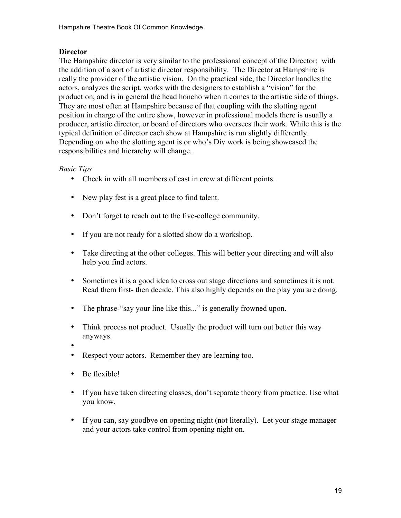## **Director**

The Hampshire director is very similar to the professional concept of the Director; with the addition of a sort of artistic director responsibility. The Director at Hampshire is really the provider of the artistic vision. On the practical side, the Director handles the actors, analyzes the script, works with the designers to establish a "vision" for the production, and is in general the head honcho when it comes to the artistic side of things. They are most often at Hampshire because of that coupling with the slotting agent position in charge of the entire show, however in professional models there is usually a producer, artistic director, or board of directors who oversees their work. While this is the typical definition of director each show at Hampshire is run slightly differently. Depending on who the slotting agent is or who's Div work is being showcased the responsibilities and hierarchy will change.

### *Basic Tips*

- Check in with all members of cast in crew at different points.
- New play fest is a great place to find talent.
- Don't forget to reach out to the five-college community.
- If you are not ready for a slotted show do a workshop.
- Take directing at the other colleges. This will better your directing and will also help you find actors.
- Sometimes it is a good idea to cross out stage directions and sometimes it is not. Read them first- then decide. This also highly depends on the play you are doing.
- The phrase-"say your line like this..." is generally frowned upon.
- Think process not product. Usually the product will turn out better this way anyways.
- •
- Respect your actors. Remember they are learning too.
- Be flexible!
- If you have taken directing classes, don't separate theory from practice. Use what you know.
- If you can, say goodbye on opening night (not literally). Let your stage manager and your actors take control from opening night on.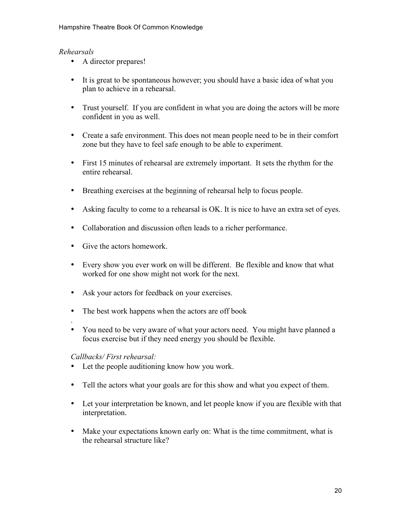# *Rehearsals*

- A director prepares!
- It is great to be spontaneous however; you should have a basic idea of what you plan to achieve in a rehearsal.
- Trust yourself. If you are confident in what you are doing the actors will be more confident in you as well.
- Create a safe environment. This does not mean people need to be in their comfort zone but they have to feel safe enough to be able to experiment.
- First 15 minutes of rehearsal are extremely important. It sets the rhythm for the entire rehearsal.
- Breathing exercises at the beginning of rehearsal help to focus people.
- Asking faculty to come to a rehearsal is OK. It is nice to have an extra set of eyes.
- Collaboration and discussion often leads to a richer performance.
- Give the actors homework.
- Every show you ever work on will be different. Be flexible and know that what worked for one show might not work for the next.
- Ask your actors for feedback on your exercises.
- The best work happens when the actors are off book
- You need to be very aware of what your actors need. You might have planned a focus exercise but if they need energy you should be flexible.

# *Callbacks/ First rehearsal:*

.

- Let the people auditioning know how you work.
- Tell the actors what your goals are for this show and what you expect of them.
- Let your interpretation be known, and let people know if you are flexible with that interpretation.
- Make your expectations known early on: What is the time commitment, what is the rehearsal structure like?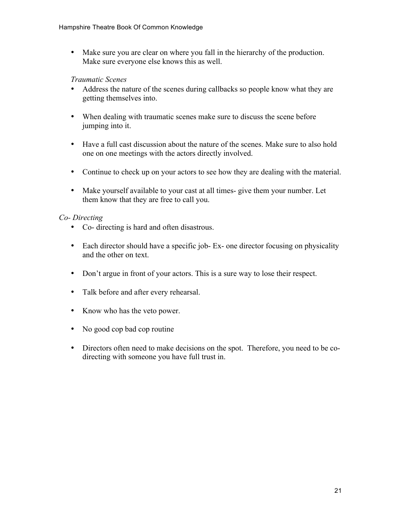• Make sure you are clear on where you fall in the hierarchy of the production. Make sure everyone else knows this as well.

### *Traumatic Scenes*

- Address the nature of the scenes during callbacks so people know what they are getting themselves into.
- When dealing with traumatic scenes make sure to discuss the scene before jumping into it.
- Have a full cast discussion about the nature of the scenes. Make sure to also hold one on one meetings with the actors directly involved.
- Continue to check up on your actors to see how they are dealing with the material.
- Make yourself available to your cast at all times- give them your number. Let them know that they are free to call you.

### *Co- Directing*

- Co- directing is hard and often disastrous.
- Each director should have a specific job- Ex- one director focusing on physicality and the other on text.
- Don't argue in front of your actors. This is a sure way to lose their respect.
- Talk before and after every rehearsal.
- Know who has the veto power.
- No good cop bad cop routine
- Directors often need to make decisions on the spot. Therefore, you need to be codirecting with someone you have full trust in.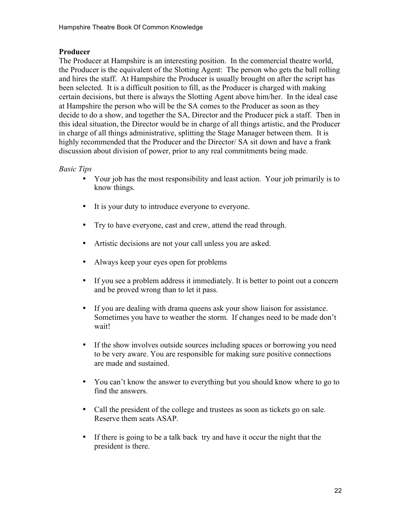# **Producer**

The Producer at Hampshire is an interesting position. In the commercial theatre world, the Producer is the equivalent of the Slotting Agent: The person who gets the ball rolling and hires the staff. At Hampshire the Producer is usually brought on after the script has been selected. It is a difficult position to fill, as the Producer is charged with making certain decisions, but there is always the Slotting Agent above him/her. In the ideal case at Hampshire the person who will be the SA comes to the Producer as soon as they decide to do a show, and together the SA, Director and the Producer pick a staff. Then in this ideal situation, the Director would be in charge of all things artistic, and the Producer in charge of all things administrative, splitting the Stage Manager between them. It is highly recommended that the Producer and the Director/ SA sit down and have a frank discussion about division of power, prior to any real commitments being made.

### *Basic Tips*

- Your job has the most responsibility and least action. Your job primarily is to know things.
- It is your duty to introduce everyone to everyone.
- Try to have everyone, cast and crew, attend the read through.
- Artistic decisions are not your call unless you are asked.
- Always keep your eyes open for problems
- If you see a problem address it immediately. It is better to point out a concern and be proved wrong than to let it pass.
- If you are dealing with drama queens ask your show liaison for assistance. Sometimes you have to weather the storm. If changes need to be made don't wait!
- If the show involves outside sources including spaces or borrowing you need to be very aware. You are responsible for making sure positive connections are made and sustained.
- You can't know the answer to everything but you should know where to go to find the answers.
- Call the president of the college and trustees as soon as tickets go on sale. Reserve them seats ASAP.
- If there is going to be a talk back try and have it occur the night that the president is there.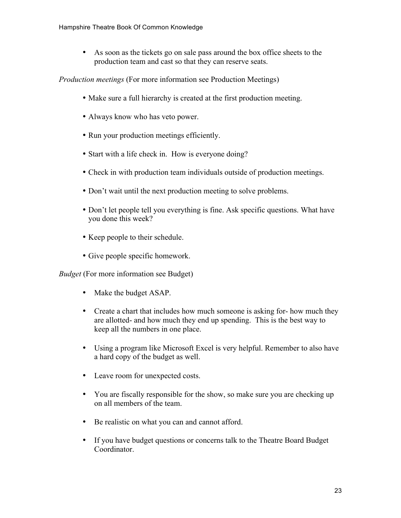• As soon as the tickets go on sale pass around the box office sheets to the production team and cast so that they can reserve seats.

*Production meetings* (For more information see Production Meetings)

- Make sure a full hierarchy is created at the first production meeting.
- Always know who has veto power.
- Run your production meetings efficiently.
- Start with a life check in. How is everyone doing?
- Check in with production team individuals outside of production meetings.
- Don't wait until the next production meeting to solve problems.
- Don't let people tell you everything is fine. Ask specific questions. What have you done this week?
- Keep people to their schedule.
- Give people specific homework.

*Budget* (For more information see Budget)

- Make the budget ASAP.
- Create a chart that includes how much someone is asking for- how much they are allotted- and how much they end up spending. This is the best way to keep all the numbers in one place.
- Using a program like Microsoft Excel is very helpful. Remember to also have a hard copy of the budget as well.
- Leave room for unexpected costs.
- You are fiscally responsible for the show, so make sure you are checking up on all members of the team.
- Be realistic on what you can and cannot afford.
- If you have budget questions or concerns talk to the Theatre Board Budget **Coordinator**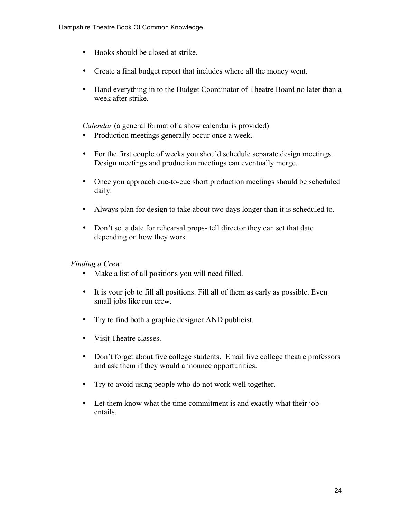- Books should be closed at strike.
- Create a final budget report that includes where all the money went.
- Hand everything in to the Budget Coordinator of Theatre Board no later than a week after strike.

*Calendar* (a general format of a show calendar is provided)

- Production meetings generally occur once a week.
- For the first couple of weeks you should schedule separate design meetings. Design meetings and production meetings can eventually merge.
- Once you approach cue-to-cue short production meetings should be scheduled daily.
- Always plan for design to take about two days longer than it is scheduled to.
- Don't set a date for rehearsal props- tell director they can set that date depending on how they work.

# *Finding a Crew*

- Make a list of all positions you will need filled.
- It is your job to fill all positions. Fill all of them as early as possible. Even small jobs like run crew.
- Try to find both a graphic designer AND publicist.
- Visit Theatre classes.
- Don't forget about five college students. Email five college theatre professors and ask them if they would announce opportunities.
- Try to avoid using people who do not work well together.
- Let them know what the time commitment is and exactly what their job entails.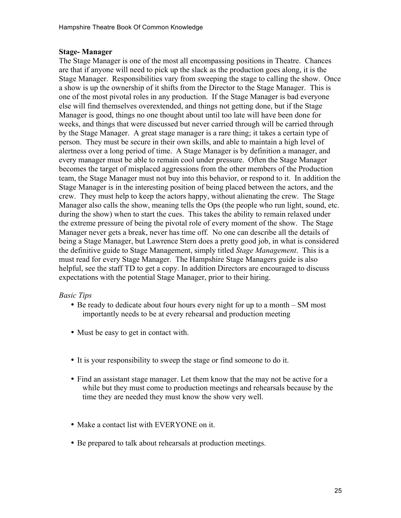### **Stage- Manager**

The Stage Manager is one of the most all encompassing positions in Theatre. Chances are that if anyone will need to pick up the slack as the production goes along, it is the Stage Manager. Responsibilities vary from sweeping the stage to calling the show. Once a show is up the ownership of it shifts from the Director to the Stage Manager. This is one of the most pivotal roles in any production. If the Stage Manager is bad everyone else will find themselves overextended, and things not getting done, but if the Stage Manager is good, things no one thought about until too late will have been done for weeks, and things that were discussed but never carried through will be carried through by the Stage Manager. A great stage manager is a rare thing; it takes a certain type of person. They must be secure in their own skills, and able to maintain a high level of alertness over a long period of time. A Stage Manager is by definition a manager, and every manager must be able to remain cool under pressure. Often the Stage Manager becomes the target of misplaced aggressions from the other members of the Production team, the Stage Manager must not buy into this behavior, or respond to it. In addition the Stage Manager is in the interesting position of being placed between the actors, and the crew. They must help to keep the actors happy, without alienating the crew. The Stage Manager also calls the show, meaning tells the Ops (the people who run light, sound, etc. during the show) when to start the cues. This takes the ability to remain relaxed under the extreme pressure of being the pivotal role of every moment of the show. The Stage Manager never gets a break, never has time off. No one can describe all the details of being a Stage Manager, but Lawrence Stern does a pretty good job, in what is considered the definitive guide to Stage Management, simply titled *Stage Management*. This is a must read for every Stage Manager. The Hampshire Stage Managers guide is also helpful, see the staff TD to get a copy. In addition Directors are encouraged to discuss expectations with the potential Stage Manager, prior to their hiring.

# *Basic Tips*

- Be ready to dedicate about four hours every night for up to a month SM most importantly needs to be at every rehearsal and production meeting
- Must be easy to get in contact with.
- It is your responsibility to sweep the stage or find someone to do it.
- Find an assistant stage manager. Let them know that the may not be active for a while but they must come to production meetings and rehearsals because by the time they are needed they must know the show very well.
- Make a contact list with EVERYONE on it.
- Be prepared to talk about rehearsals at production meetings.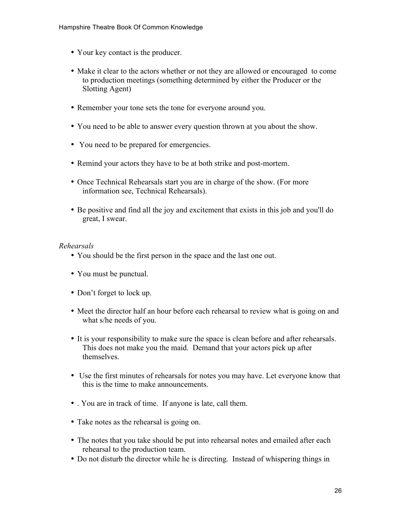- Your key contact is the producer.
- Make it clear to the actors whether or not they are allowed or encouraged to come to production meetings (something determined by either the Producer or the Slotting Agent)
- Remember your tone sets the tone for everyone around you.
- You need to be able to answer every question thrown at you about the show.
- You need to be prepared for emergencies.
- Remind your actors they have to be at both strike and post-mortem.
- Once Technical Rehearsals start you are in charge of the show. (For more information see, Technical Rehearsals).
- Be positive and find all the joy and excitement that exists in this job and you'll do great, I swear.

#### *Rehearsals*

- You should be the first person in the space and the last one out.
- You must be punctual.
- Don't forget to lock up.
- Meet the director half an hour before each rehearsal to review what is going on and what s/he needs of you.
- It is your responsibility to make sure the space is clean before and after rehearsals. This does not make you the maid. Demand that your actors pick up after themselves.
- Use the first minutes of rehearsals for notes you may have. Let everyone know that this is the time to make announcements.
- . You are in track of time. If anyone is late, call them.
- Take notes as the rehearsal is going on.
- The notes that you take should be put into rehearsal notes and emailed after each rehearsal to the production team.
- Do not disturb the director while he is directing. Instead of whispering things in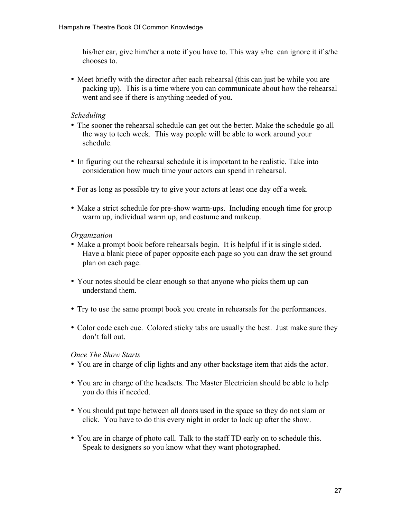his/her ear, give him/her a note if you have to. This way s/he can ignore it if s/he chooses to.

• Meet briefly with the director after each rehearsal (this can just be while you are packing up). This is a time where you can communicate about how the rehearsal went and see if there is anything needed of you.

## *Scheduling*

- The sooner the rehearsal schedule can get out the better. Make the schedule go all the way to tech week. This way people will be able to work around your schedule.
- In figuring out the rehearsal schedule it is important to be realistic. Take into consideration how much time your actors can spend in rehearsal.
- For as long as possible try to give your actors at least one day off a week.
- Make a strict schedule for pre-show warm-ups. Including enough time for group warm up, individual warm up, and costume and makeup.

### *Organization*

- Make a prompt book before rehearsals begin. It is helpful if it is single sided. Have a blank piece of paper opposite each page so you can draw the set ground plan on each page.
- Your notes should be clear enough so that anyone who picks them up can understand them.
- Try to use the same prompt book you create in rehearsals for the performances.
- Color code each cue. Colored sticky tabs are usually the best. Just make sure they don't fall out.

#### *Once The Show Starts*

- You are in charge of clip lights and any other backstage item that aids the actor.
- You are in charge of the headsets. The Master Electrician should be able to help you do this if needed.
- You should put tape between all doors used in the space so they do not slam or click. You have to do this every night in order to lock up after the show.
- You are in charge of photo call. Talk to the staff TD early on to schedule this. Speak to designers so you know what they want photographed.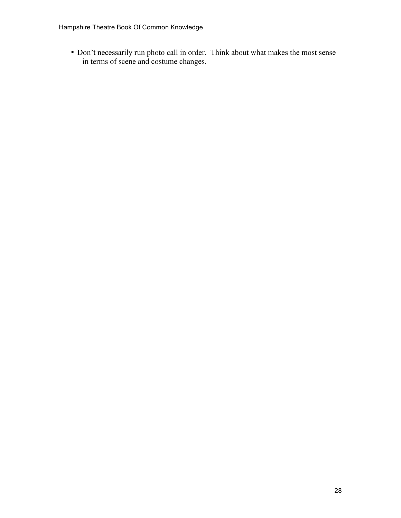• Don't necessarily run photo call in order. Think about what makes the most sense in terms of scene and costume changes.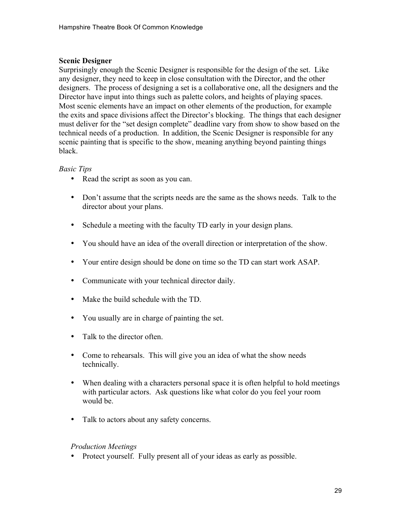## **Scenic Designer**

Surprisingly enough the Scenic Designer is responsible for the design of the set. Like any designer, they need to keep in close consultation with the Director, and the other designers. The process of designing a set is a collaborative one, all the designers and the Director have input into things such as palette colors, and heights of playing spaces. Most scenic elements have an impact on other elements of the production, for example the exits and space divisions affect the Director's blocking. The things that each designer must deliver for the "set design complete" deadline vary from show to show based on the technical needs of a production. In addition, the Scenic Designer is responsible for any scenic painting that is specific to the show, meaning anything beyond painting things black.

### *Basic Tips*

- Read the script as soon as you can.
- Don't assume that the scripts needs are the same as the shows needs. Talk to the director about your plans.
- Schedule a meeting with the faculty TD early in your design plans.
- You should have an idea of the overall direction or interpretation of the show.
- Your entire design should be done on time so the TD can start work ASAP.
- Communicate with your technical director daily.
- Make the build schedule with the TD.
- You usually are in charge of painting the set.
- Talk to the director often.
- Come to rehearsals. This will give you an idea of what the show needs technically.
- When dealing with a characters personal space it is often helpful to hold meetings with particular actors. Ask questions like what color do you feel your room would be.
- Talk to actors about any safety concerns.

#### *Production Meetings*

• Protect yourself. Fully present all of your ideas as early as possible.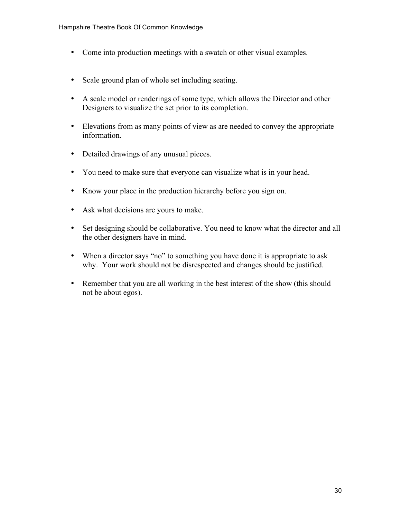- Come into production meetings with a swatch or other visual examples.
- Scale ground plan of whole set including seating.
- A scale model or renderings of some type, which allows the Director and other Designers to visualize the set prior to its completion.
- Elevations from as many points of view as are needed to convey the appropriate information.
- Detailed drawings of any unusual pieces.
- You need to make sure that everyone can visualize what is in your head.
- Know your place in the production hierarchy before you sign on.
- Ask what decisions are yours to make.
- Set designing should be collaborative. You need to know what the director and all the other designers have in mind.
- When a director says "no" to something you have done it is appropriate to ask why. Your work should not be disrespected and changes should be justified.
- Remember that you are all working in the best interest of the show (this should not be about egos).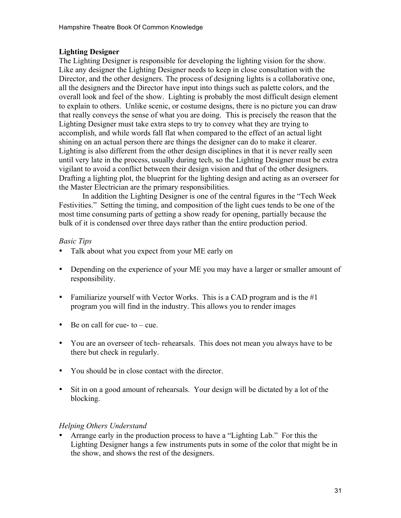# **Lighting Designer**

The Lighting Designer is responsible for developing the lighting vision for the show. Like any designer the Lighting Designer needs to keep in close consultation with the Director, and the other designers. The process of designing lights is a collaborative one, all the designers and the Director have input into things such as palette colors, and the overall look and feel of the show. Lighting is probably the most difficult design element to explain to others. Unlike scenic, or costume designs, there is no picture you can draw that really conveys the sense of what you are doing. This is precisely the reason that the Lighting Designer must take extra steps to try to convey what they are trying to accomplish, and while words fall flat when compared to the effect of an actual light shining on an actual person there are things the designer can do to make it clearer. Lighting is also different from the other design disciplines in that it is never really seen until very late in the process, usually during tech, so the Lighting Designer must be extra vigilant to avoid a conflict between their design vision and that of the other designers. Drafting a lighting plot, the blueprint for the lighting design and acting as an overseer for the Master Electrician are the primary responsibilities.

In addition the Lighting Designer is one of the central figures in the "Tech Week Festivities." Setting the timing, and composition of the light cues tends to be one of the most time consuming parts of getting a show ready for opening, partially because the bulk of it is condensed over three days rather than the entire production period.

### *Basic Tips*

- Talk about what you expect from your ME early on
- Depending on the experience of your ME you may have a larger or smaller amount of responsibility.
- Familiarize yourself with Vector Works. This is a CAD program and is the  $#1$ program you will find in the industry. This allows you to render images
- Be on call for cue- to  $-$  cue.
- You are an overseer of tech- rehearsals. This does not mean you always have to be there but check in regularly.
- You should be in close contact with the director.
- Sit in on a good amount of rehearsals. Your design will be dictated by a lot of the blocking.

# *Helping Others Understand*

• Arrange early in the production process to have a "Lighting Lab." For this the Lighting Designer hangs a few instruments puts in some of the color that might be in the show, and shows the rest of the designers.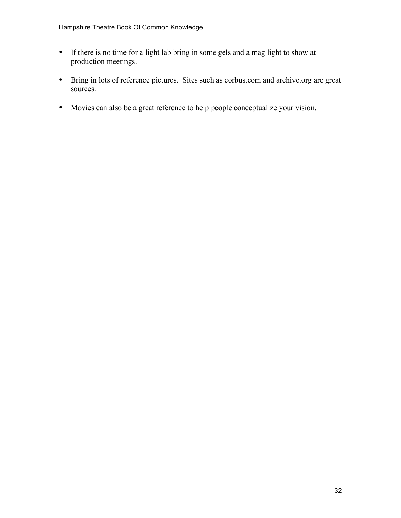- If there is no time for a light lab bring in some gels and a mag light to show at production meetings.
- Bring in lots of reference pictures. Sites such as corbus.com and archive.org are great sources.
- Movies can also be a great reference to help people conceptualize your vision.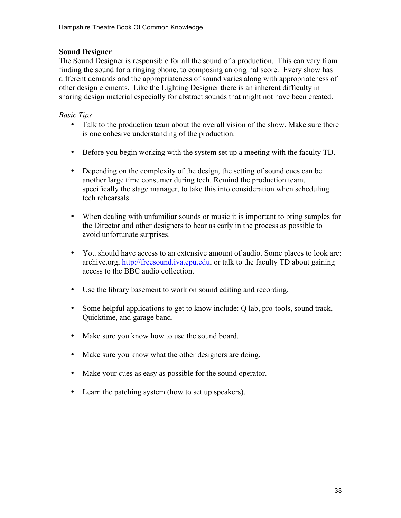## **Sound Designer**

The Sound Designer is responsible for all the sound of a production. This can vary from finding the sound for a ringing phone, to composing an original score. Every show has different demands and the appropriateness of sound varies along with appropriateness of other design elements. Like the Lighting Designer there is an inherent difficulty in sharing design material especially for abstract sounds that might not have been created.

## *Basic Tips*

- Talk to the production team about the overall vision of the show. Make sure there is one cohesive understanding of the production.
- Before you begin working with the system set up a meeting with the faculty TD.
- Depending on the complexity of the design, the setting of sound cues can be another large time consumer during tech. Remind the production team, specifically the stage manager, to take this into consideration when scheduling tech rehearsals.
- When dealing with unfamiliar sounds or music it is important to bring samples for the Director and other designers to hear as early in the process as possible to avoid unfortunate surprises.
- You should have access to an extensive amount of audio. Some places to look are: archive.org, http://freesound.iva.epu.edu, or talk to the faculty TD about gaining access to the BBC audio collection.
- Use the library basement to work on sound editing and recording.
- Some helpful applications to get to know include: Q lab, pro-tools, sound track, Quicktime, and garage band.
- Make sure you know how to use the sound board.
- Make sure you know what the other designers are doing.
- Make your cues as easy as possible for the sound operator.
- Learn the patching system (how to set up speakers).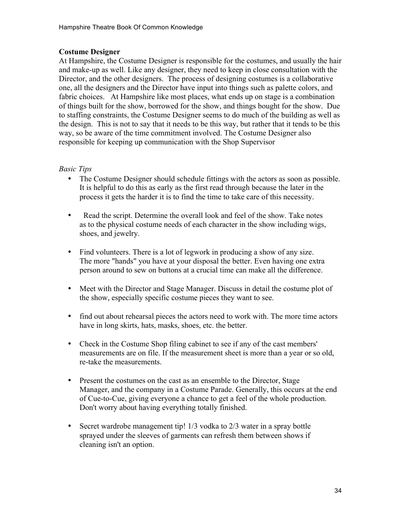# **Costume Designer**

At Hampshire, the Costume Designer is responsible for the costumes, and usually the hair and make-up as well. Like any designer, they need to keep in close consultation with the Director, and the other designers. The process of designing costumes is a collaborative one, all the designers and the Director have input into things such as palette colors, and fabric choices. At Hampshire like most places, what ends up on stage is a combination of things built for the show, borrowed for the show, and things bought for the show. Due to staffing constraints, the Costume Designer seems to do much of the building as well as the design. This is not to say that it needs to be this way, but rather that it tends to be this way, so be aware of the time commitment involved. The Costume Designer also responsible for keeping up communication with the Shop Supervisor

### *Basic Tips*

- The Costume Designer should schedule fittings with the actors as soon as possible. It is helpful to do this as early as the first read through because the later in the process it gets the harder it is to find the time to take care of this necessity.
- Read the script. Determine the overall look and feel of the show. Take notes as to the physical costume needs of each character in the show including wigs, shoes, and jewelry.
- Find volunteers. There is a lot of legwork in producing a show of any size. The more "hands" you have at your disposal the better. Even having one extra person around to sew on buttons at a crucial time can make all the difference.
- Meet with the Director and Stage Manager. Discuss in detail the costume plot of the show, especially specific costume pieces they want to see.
- find out about rehearsal pieces the actors need to work with. The more time actors have in long skirts, hats, masks, shoes, etc. the better.
- Check in the Costume Shop filing cabinet to see if any of the cast members' measurements are on file. If the measurement sheet is more than a year or so old, re-take the measurements.
- Present the costumes on the cast as an ensemble to the Director, Stage Manager, and the company in a Costume Parade. Generally, this occurs at the end of Cue-to-Cue, giving everyone a chance to get a feel of the whole production. Don't worry about having everything totally finished.
- Secret wardrobe management tip! 1/3 vodka to 2/3 water in a spray bottle sprayed under the sleeves of garments can refresh them between shows if cleaning isn't an option.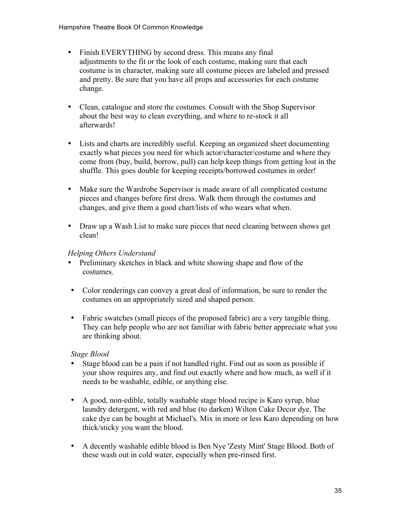- Finish EVERYTHING by second dress. This means any final adjustments to the fit or the look of each costume, making sure that each costume is in character, making sure all costume pieces are labeled and pressed and pretty. Be sure that you have all props and accessories for each costume change.
- Clean, catalogue and store the costumes. Consult with the Shop Supervisor about the best way to clean everything, and where to re-stock it all afterwards!
- Lists and charts are incredibly useful. Keeping an organized sheet documenting exactly what pieces you need for which actor/character/costume and where they come from (buy, build, borrow, pull) can help keep things from getting lost in the shuffle. This goes double for keeping receipts/borrowed costumes in order!
- Make sure the Wardrobe Supervisor is made aware of all complicated costume pieces and changes before first dress. Walk them through the costumes and changes, and give them a good chart/lists of who wears what when.
- Draw up a Wash List to make sure pieces that need cleaning between shows get clean!

# *Helping Others Understand*

- Preliminary sketches in black and white showing shape and flow of the costumes.
- Color renderings can convey a great deal of information, be sure to render the costumes on an appropriately sized and shaped person.
- Fabric swatches (small pieces of the proposed fabric) are a very tangible thing. They can help people who are not familiar with fabric better appreciate what you are thinking about.

# *Stage Blood*

- Stage blood can be a pain if not handled right. Find out as soon as possible if your show requires any, and find out exactly where and how much, as well if it needs to be washable, edible, or anything else.
- A good, non-edible, totally washable stage blood recipe is Karo syrup, blue laundry detergent, with red and blue (to darken) Wilton Cake Decor dye. The cake dye can be bought at Michael's. Mix in more or less Karo depending on how thick/sticky you want the blood.
- A decently washable edible blood is Ben Nye 'Zesty Mint' Stage Blood. Both of these wash out in cold water, especially when pre-rinsed first.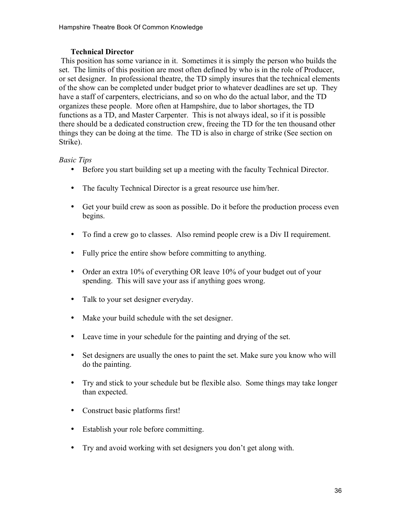# **Technical Director**

This position has some variance in it. Sometimes it is simply the person who builds the set. The limits of this position are most often defined by who is in the role of Producer, or set designer. In professional theatre, the TD simply insures that the technical elements of the show can be completed under budget prior to whatever deadlines are set up. They have a staff of carpenters, electricians, and so on who do the actual labor, and the TD organizes these people. More often at Hampshire, due to labor shortages, the TD functions as a TD, and Master Carpenter. This is not always ideal, so if it is possible there should be a dedicated construction crew, freeing the TD for the ten thousand other things they can be doing at the time. The TD is also in charge of strike (See section on Strike).

### *Basic Tips*

- Before you start building set up a meeting with the faculty Technical Director.
- The faculty Technical Director is a great resource use him/her.
- Get your build crew as soon as possible. Do it before the production process even begins.
- To find a crew go to classes. Also remind people crew is a Div II requirement.
- Fully price the entire show before committing to anything.
- Order an extra 10% of everything OR leave 10% of your budget out of your spending. This will save your ass if anything goes wrong.
- Talk to your set designer everyday.
- Make your build schedule with the set designer.
- Leave time in your schedule for the painting and drying of the set.
- Set designers are usually the ones to paint the set. Make sure you know who will do the painting.
- Try and stick to your schedule but be flexible also. Some things may take longer than expected.
- Construct basic platforms first!
- Establish your role before committing.
- Try and avoid working with set designers you don't get along with.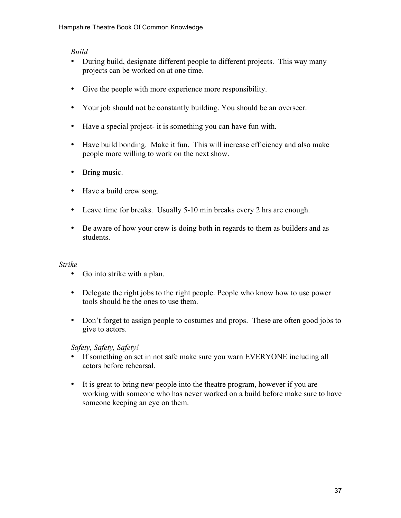## *Build*

- During build, designate different people to different projects. This way many projects can be worked on at one time.
- Give the people with more experience more responsibility.
- Your job should not be constantly building. You should be an overseer.
- Have a special project- it is something you can have fun with.
- Have build bonding. Make it fun. This will increase efficiency and also make people more willing to work on the next show.
- Bring music.
- Have a build crew song.
- Leave time for breaks. Usually 5-10 min breaks every 2 hrs are enough.
- Be aware of how your crew is doing both in regards to them as builders and as students.

# *Strike*

- Go into strike with a plan.
- Delegate the right jobs to the right people. People who know how to use power tools should be the ones to use them.
- Don't forget to assign people to costumes and props. These are often good jobs to give to actors.

*Safety, Safety, Safety!*

- If something on set in not safe make sure you warn EVERYONE including all actors before rehearsal.
- It is great to bring new people into the theatre program, however if you are working with someone who has never worked on a build before make sure to have someone keeping an eye on them.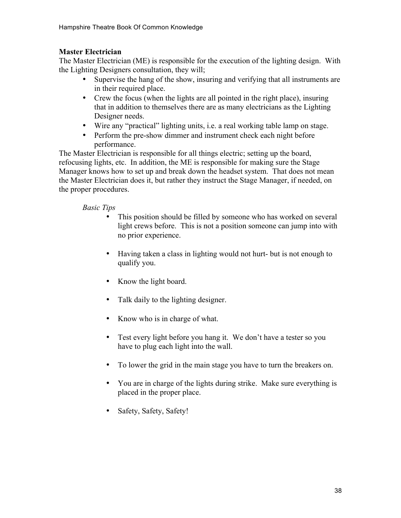# **Master Electrician**

The Master Electrician (ME) is responsible for the execution of the lighting design. With the Lighting Designers consultation, they will;

- Supervise the hang of the show, insuring and verifying that all instruments are in their required place.
- Crew the focus (when the lights are all pointed in the right place), insuring that in addition to themselves there are as many electricians as the Lighting Designer needs.
- Wire any "practical" lighting units, i.e. a real working table lamp on stage.
- Perform the pre-show dimmer and instrument check each night before performance.

The Master Electrician is responsible for all things electric; setting up the board, refocusing lights, etc. In addition, the ME is responsible for making sure the Stage Manager knows how to set up and break down the headset system. That does not mean the Master Electrician does it, but rather they instruct the Stage Manager, if needed, on the proper procedures.

# *Basic Tips*

- This position should be filled by someone who has worked on several light crews before. This is not a position someone can jump into with no prior experience.
- Having taken a class in lighting would not hurt- but is not enough to qualify you.
- Know the light board.
- Talk daily to the lighting designer.
- Know who is in charge of what.
- Test every light before you hang it. We don't have a tester so you have to plug each light into the wall.
- To lower the grid in the main stage you have to turn the breakers on.
- You are in charge of the lights during strike. Make sure everything is placed in the proper place.
- Safety, Safety, Safety!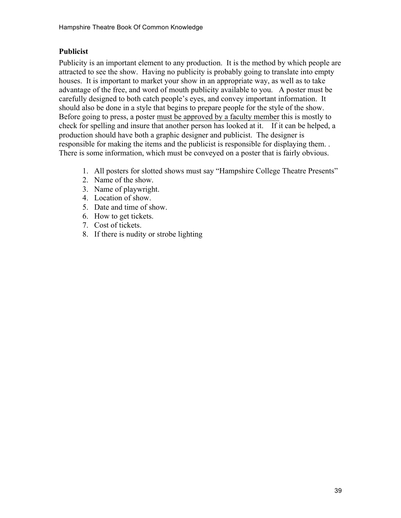# **Publicist**

Publicity is an important element to any production. It is the method by which people are attracted to see the show. Having no publicity is probably going to translate into empty houses. It is important to market your show in an appropriate way, as well as to take advantage of the free, and word of mouth publicity available to you. A poster must be carefully designed to both catch people's eyes, and convey important information. It should also be done in a style that begins to prepare people for the style of the show. Before going to press, a poster must be approved by a faculty member this is mostly to check for spelling and insure that another person has looked at it. If it can be helped, a production should have both a graphic designer and publicist. The designer is responsible for making the items and the publicist is responsible for displaying them. . There is some information, which must be conveyed on a poster that is fairly obvious.

- 1. All posters for slotted shows must say "Hampshire College Theatre Presents"
- 2. Name of the show.
- 3. Name of playwright.
- 4. Location of show.
- 5. Date and time of show.
- 6. How to get tickets.
- 7. Cost of tickets.
- 8. If there is nudity or strobe lighting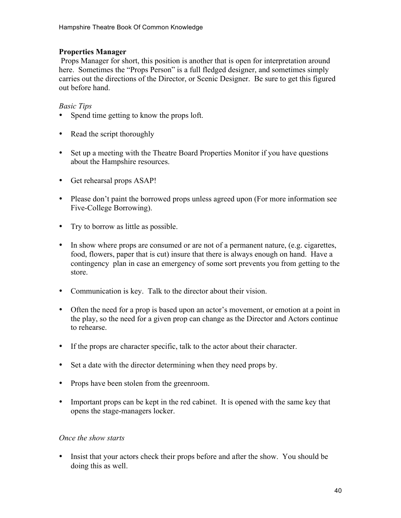### **Properties Manager**

Props Manager for short, this position is another that is open for interpretation around here. Sometimes the "Props Person" is a full fledged designer, and sometimes simply carries out the directions of the Director, or Scenic Designer. Be sure to get this figured out before hand.

## *Basic Tips*

- Spend time getting to know the props loft.
- Read the script thoroughly
- Set up a meeting with the Theatre Board Properties Monitor if you have questions about the Hampshire resources.
- Get rehearsal props ASAP!
- Please don't paint the borrowed props unless agreed upon (For more information see Five-College Borrowing).
- Try to borrow as little as possible.
- In show where props are consumed or are not of a permanent nature, (e.g. cigarettes, food, flowers, paper that is cut) insure that there is always enough on hand. Have a contingency plan in case an emergency of some sort prevents you from getting to the store.
- Communication is key. Talk to the director about their vision.
- Often the need for a prop is based upon an actor's movement, or emotion at a point in the play, so the need for a given prop can change as the Director and Actors continue to rehearse.
- If the props are character specific, talk to the actor about their character.
- Set a date with the director determining when they need props by.
- Props have been stolen from the greenroom.
- Important props can be kept in the red cabinet. It is opened with the same key that opens the stage-managers locker.

#### *Once the show starts*

• Insist that your actors check their props before and after the show. You should be doing this as well.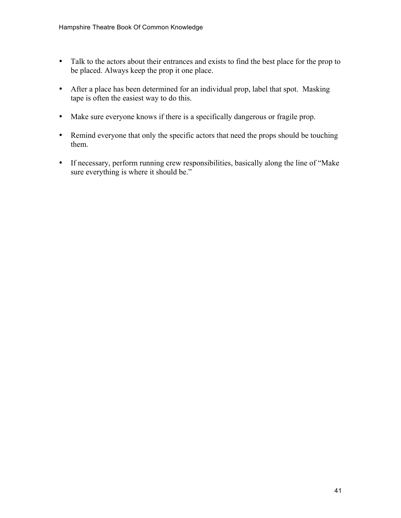- Talk to the actors about their entrances and exists to find the best place for the prop to be placed. Always keep the prop it one place.
- After a place has been determined for an individual prop, label that spot. Masking tape is often the easiest way to do this.
- Make sure everyone knows if there is a specifically dangerous or fragile prop.
- Remind everyone that only the specific actors that need the props should be touching them.
- If necessary, perform running crew responsibilities, basically along the line of "Make sure everything is where it should be."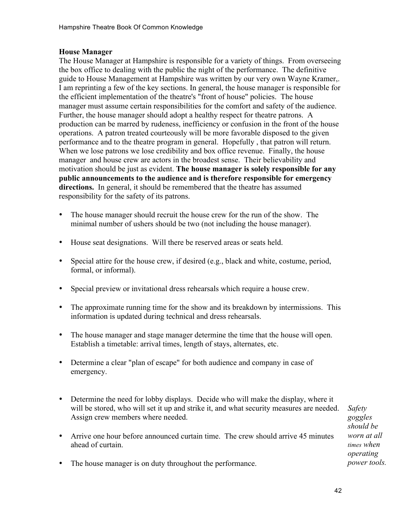### **House Manager**

The House Manager at Hampshire is responsible for a variety of things. From overseeing the box office to dealing with the public the night of the performance. The definitive guide to House Management at Hampshire was written by our very own Wayne Kramer,. I am reprinting a few of the key sections. In general, the house manager is responsible for the efficient implementation of the theatre's "front of house" policies. The house manager must assume certain responsibilities for the comfort and safety of the audience. Further, the house manager should adopt a healthy respect for theatre patrons. A production can be marred by rudeness, inefficiency or confusion in the front of the house operations. A patron treated courteously will be more favorable disposed to the given performance and to the theatre program in general. Hopefully , that patron will return. When we lose patrons we lose credibility and box office revenue. Finally, the house manager and house crew are actors in the broadest sense. Their believability and motivation should be just as evident. **The house manager is solely responsible for any public announcements to the audience and is therefore responsible for emergency directions.** In general, it should be remembered that the theatre has assumed responsibility for the safety of its patrons.

- The house manager should recruit the house crew for the run of the show. The minimal number of ushers should be two (not including the house manager).
- House seat designations. Will there be reserved areas or seats held.
- Special attire for the house crew, if desired (e.g., black and white, costume, period, formal, or informal).
- Special preview or invitational dress rehearsals which require a house crew.
- The approximate running time for the show and its breakdown by intermissions. This information is updated during technical and dress rehearsals.
- The house manager and stage manager determine the time that the house will open. Establish a timetable: arrival times, length of stays, alternates, etc.
- Determine a clear "plan of escape" for both audience and company in case of emergency.
- Determine the need for lobby displays. Decide who will make the display, where it will be stored, who will set it up and strike it, and what security measures are needed. Assign crew members where needed.
- Arrive one hour before announced curtain time. The crew should arrive 45 minutes ahead of curtain.

*Safety goggles should be worn at all times when operating power tools.*

• The house manager is on duty throughout the performance.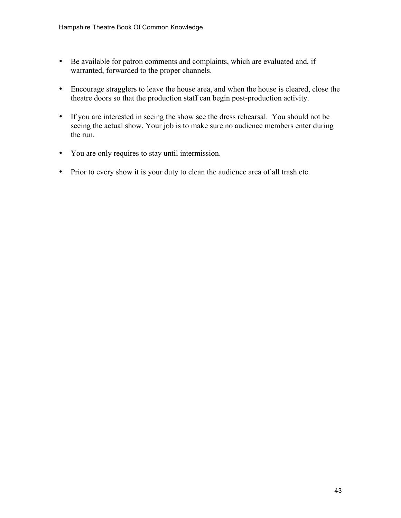- Be available for patron comments and complaints, which are evaluated and, if warranted, forwarded to the proper channels.
- Encourage stragglers to leave the house area, and when the house is cleared, close the theatre doors so that the production staff can begin post-production activity.
- If you are interested in seeing the show see the dress rehearsal. You should not be seeing the actual show. Your job is to make sure no audience members enter during the run.
- You are only requires to stay until intermission.
- Prior to every show it is your duty to clean the audience area of all trash etc.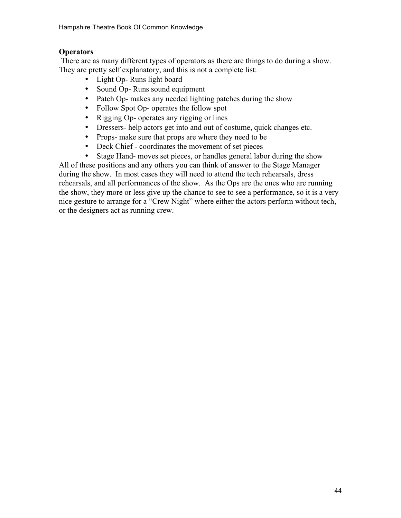# **Operators**

There are as many different types of operators as there are things to do during a show. They are pretty self explanatory, and this is not a complete list:

- Light Op- Runs light board
- Sound Op- Runs sound equipment
- Patch Op- makes any needed lighting patches during the show
- Follow Spot Op- operates the follow spot
- Rigging Op- operates any rigging or lines
- Dressers- help actors get into and out of costume, quick changes etc.
- Props- make sure that props are where they need to be
- Deck Chief coordinates the movement of set pieces
- Stage Hand- moves set pieces, or handles general labor during the show All of these positions and any others you can think of answer to the Stage Manager during the show. In most cases they will need to attend the tech rehearsals, dress rehearsals, and all performances of the show. As the Ops are the ones who are running the show, they more or less give up the chance to see to see a performance, so it is a very nice gesture to arrange for a "Crew Night" where either the actors perform without tech,

or the designers act as running crew.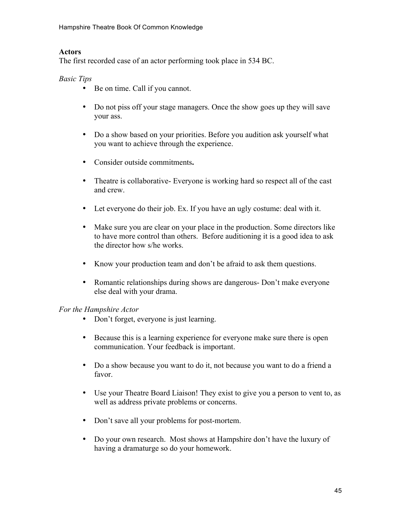# **Actors**

The first recorded case of an actor performing took place in 534 BC.

# *Basic Tips*

- Be on time. Call if you cannot.
- Do not piss off your stage managers. Once the show goes up they will save your ass.
- Do a show based on your priorities. Before you audition ask yourself what you want to achieve through the experience.
- Consider outside commitments**.**
- Theatre is collaborative- Everyone is working hard so respect all of the cast and crew.
- Let everyone do their job. Ex. If you have an ugly costume: deal with it.
- Make sure you are clear on your place in the production. Some directors like to have more control than others. Before auditioning it is a good idea to ask the director how s/he works.
- Know your production team and don't be afraid to ask them questions.
- Romantic relationships during shows are dangerous- Don't make everyone else deal with your drama.

# *For the Hampshire Actor*

- Don't forget, everyone is just learning.
- Because this is a learning experience for everyone make sure there is open communication. Your feedback is important.
- Do a show because you want to do it, not because you want to do a friend a favor.
- Use your Theatre Board Liaison! They exist to give you a person to vent to, as well as address private problems or concerns.
- Don't save all your problems for post-mortem.
- Do your own research. Most shows at Hampshire don't have the luxury of having a dramaturge so do your homework.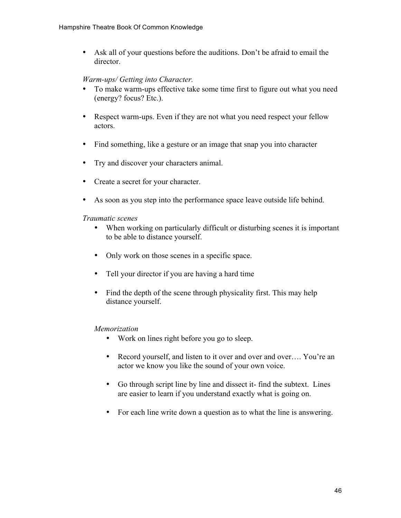• Ask all of your questions before the auditions. Don't be afraid to email the director.

## *Warm-ups/ Getting into Character.*

- To make warm-ups effective take some time first to figure out what you need (energy? focus? Etc.).
- Respect warm-ups. Even if they are not what you need respect your fellow actors.
- Find something, like a gesture or an image that snap you into character
- Try and discover your characters animal.
- Create a secret for your character.
- As soon as you step into the performance space leave outside life behind.

#### *Traumatic scenes*

- When working on particularly difficult or disturbing scenes it is important to be able to distance yourself.
- Only work on those scenes in a specific space.
- Tell your director if you are having a hard time
- Find the depth of the scene through physicality first. This may help distance yourself.

#### *Memorization*

- Work on lines right before you go to sleep.
- Record yourself, and listen to it over and over and over.... You're an actor we know you like the sound of your own voice.
- Go through script line by line and dissect it- find the subtext. Lines are easier to learn if you understand exactly what is going on.
- For each line write down a question as to what the line is answering.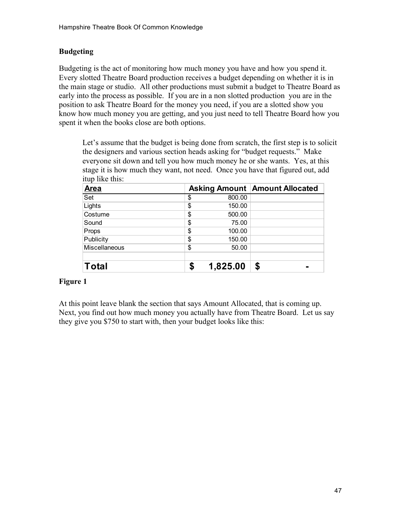# **Budgeting**

Budgeting is the act of monitoring how much money you have and how you spend it. Every slotted Theatre Board production receives a budget depending on whether it is in the main stage or studio. All other productions must submit a budget to Theatre Board as early into the process as possible. If you are in a non slotted production you are in the position to ask Theatre Board for the money you need, if you are a slotted show you know how much money you are getting, and you just need to tell Theatre Board how you spent it when the books close are both options.

Let's assume that the budget is being done from scratch, the first step is to solicit the designers and various section heads asking for "budget requests." Make everyone sit down and tell you how much money he or she wants. Yes, at this stage it is how much they want, not need. Once you have that figured out, add itup like this:

| <b>Area</b>   |    |          | <b>Asking Amount   Amount Allocated</b> |
|---------------|----|----------|-----------------------------------------|
| Set           | \$ | 800.00   |                                         |
| Lights        | \$ | 150.00   |                                         |
| Costume       | \$ | 500.00   |                                         |
| Sound         | \$ | 75.00    |                                         |
| Props         | \$ | 100.00   |                                         |
| Publicity     | \$ | 150.00   |                                         |
| Miscellaneous | \$ | 50.00    |                                         |
|               |    |          |                                         |
| <b>Total</b>  | S  | 1,825.00 | \$                                      |

# **Figure 1**

At this point leave blank the section that says Amount Allocated, that is coming up. Next, you find out how much money you actually have from Theatre Board. Let us say they give you \$750 to start with, then your budget looks like this: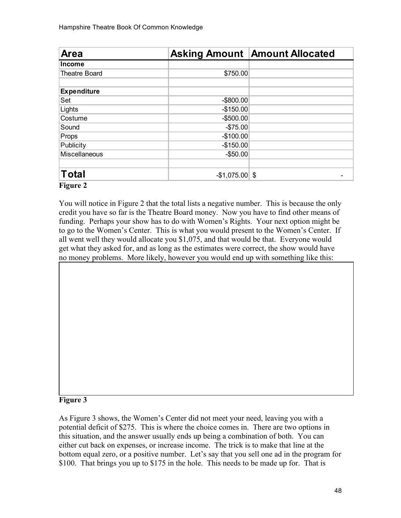| Area                 |                    | <b>Asking Amount Amount Allocated</b> |
|----------------------|--------------------|---------------------------------------|
| <b>Income</b>        |                    |                                       |
| Theatre Board        | \$750.00           |                                       |
| <b>Expenditure</b>   |                    |                                       |
| Set                  | $-$ \$800.00       |                                       |
| Lights               | $-$150.00$         |                                       |
| Costume              | $-$500.00$         |                                       |
| Sound                | $-$75.00$          |                                       |
| Props                | $-$100.00$         |                                       |
| Publicity            | $-$150.00$         |                                       |
| <b>Miscellaneous</b> | $-$50.00$          |                                       |
|                      |                    |                                       |
| Total                | $-$ \$1,075.00 \\$ |                                       |

### **Figure 2**

You will notice in Figure 2 that the total lists a negative number. This is because the only credit you have so far is the Theatre Board money. Now you have to find other means of funding. Perhaps your show has to do with Women's Rights. Your next option might be to go to the Women's Center. This is what you would present to the Women's Center. If all went well they would allocate you \$1,075, and that would be that. Everyone would get what they asked for, and as long as the estimates were correct, the show would have no money problems. More likely, however you would end up with something like this:

#### **Figure 3**

As Figure 3 shows, the Women's Center did not meet your need, leaving you with a potential deficit of \$275. This is where the choice comes in. There are two options in this situation, and the answer usually ends up being a combination of both. You can either cut back on expenses, or increase income. The trick is to make that line at the bottom equal zero, or a positive number. Let's say that you sell one ad in the program for \$100. That brings you up to \$175 in the hole. This needs to be made up for. That is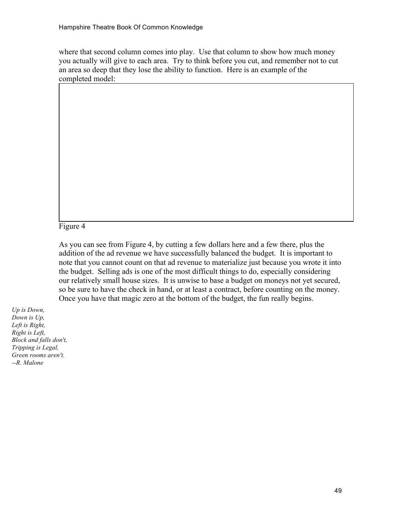where that second column comes into play. Use that column to show how much money you actually will give to each area. Try to think before you cut, and remember not to cut an area so deep that they lose the ability to function. Here is an example of the completed model:

Figure 4

As you can see from Figure 4, by cutting a few dollars here and a few there, plus the addition of the ad revenue we have successfully balanced the budget. It is important to note that you cannot count on that ad revenue to materialize just because you wrote it into the budget. Selling ads is one of the most difficult things to do, especially considering our relatively small house sizes. It is unwise to base a budget on moneys not yet secured, so be sure to have the check in hand, or at least a contract, before counting on the money. Once you have that magic zero at the bottom of the budget, the fun really begins.

*Up is Down, Down is Up, Left is Right, Right is Left, Block and falls don't, Tripping is Legal, Green rooms aren't. --R. Malone*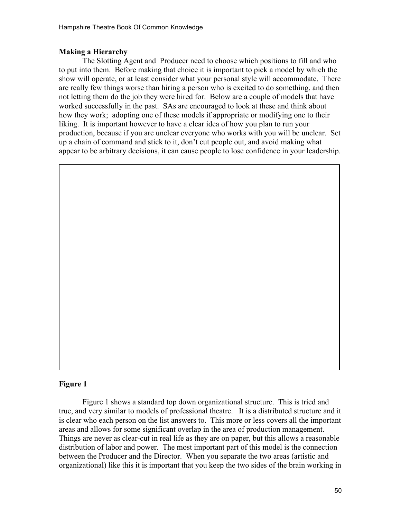# **Making a Hierarchy**

The Slotting Agent and Producer need to choose which positions to fill and who to put into them. Before making that choice it is important to pick a model by which the show will operate, or at least consider what your personal style will accommodate. There are really few things worse than hiring a person who is excited to do something, and then not letting them do the job they were hired for. Below are a couple of models that have worked successfully in the past. SAs are encouraged to look at these and think about how they work; adopting one of these models if appropriate or modifying one to their liking. It is important however to have a clear idea of how you plan to run your production, because if you are unclear everyone who works with you will be unclear. Set up a chain of command and stick to it, don't cut people out, and avoid making what appear to be arbitrary decisions, it can cause people to lose confidence in your leadership.

### **Figure 1**

Figure 1 shows a standard top down organizational structure. This is tried and true, and very similar to models of professional theatre. It is a distributed structure and it is clear who each person on the list answers to. This more or less covers all the important areas and allows for some significant overlap in the area of production management. Things are never as clear-cut in real life as they are on paper, but this allows a reasonable distribution of labor and power. The most important part of this model is the connection between the Producer and the Director. When you separate the two areas (artistic and organizational) like this it is important that you keep the two sides of the brain working in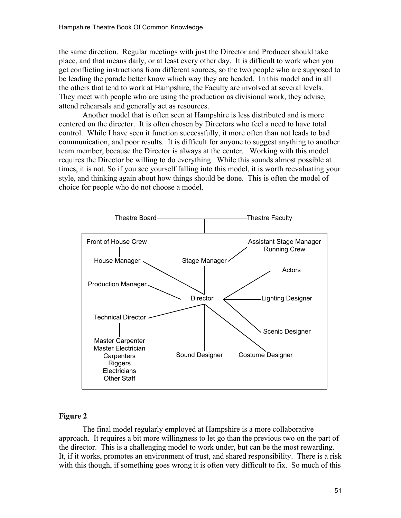the same direction. Regular meetings with just the Director and Producer should take place, and that means daily, or at least every other day. It is difficult to work when you get conflicting instructions from different sources, so the two people who are supposed to be leading the parade better know which way they are headed. In this model and in all the others that tend to work at Hampshire, the Faculty are involved at several levels. They meet with people who are using the production as divisional work, they advise, attend rehearsals and generally act as resources.

Another model that is often seen at Hampshire is less distributed and is more centered on the director. It is often chosen by Directors who feel a need to have total control. While I have seen it function successfully, it more often than not leads to bad communication, and poor results. It is difficult for anyone to suggest anything to another team member, because the Director is always at the center. Working with this model requires the Director be willing to do everything. While this sounds almost possible at times, it is not. So if you see yourself falling into this model, it is worth reevaluating your style, and thinking again about how things should be done. This is often the model of choice for people who do not choose a model.



#### **Figure 2**

The final model regularly employed at Hampshire is a more collaborative approach. It requires a bit more willingness to let go than the previous two on the part of the director. This is a challenging model to work under, but can be the most rewarding. It, if it works, promotes an environment of trust, and shared responsibility. There is a risk with this though, if something goes wrong it is often very difficult to fix. So much of this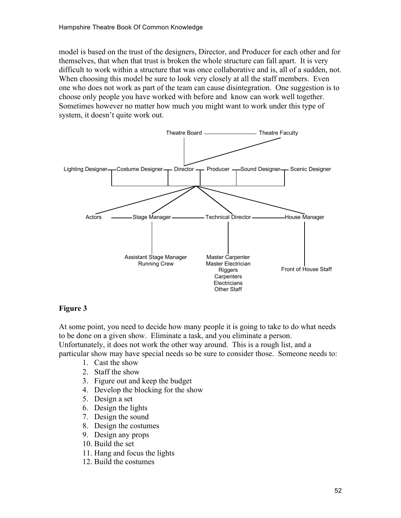model is based on the trust of the designers, Director, and Producer for each other and for themselves, that when that trust is broken the whole structure can fall apart. It is very difficult to work within a structure that was once collaborative and is, all of a sudden, not. When choosing this model be sure to look very closely at all the staff members. Even one who does not work as part of the team can cause disintegration. One suggestion is to choose only people you have worked with before and know can work well together. Sometimes however no matter how much you might want to work under this type of system, it doesn't quite work out.



# **Figure 3**

At some point, you need to decide how many people it is going to take to do what needs to be done on a given show. Eliminate a task, and you eliminate a person. Unfortunately, it does not work the other way around. This is a rough list, and a particular show may have special needs so be sure to consider those. Someone needs to:

- 1. Cast the show
- 2. Staff the show
- 3. Figure out and keep the budget
- 4. Develop the blocking for the show
- 5. Design a set
- 6. Design the lights
- 7. Design the sound
- 8. Design the costumes
- 9. Design any props
- 10. Build the set
- 11. Hang and focus the lights
- 12. Build the costumes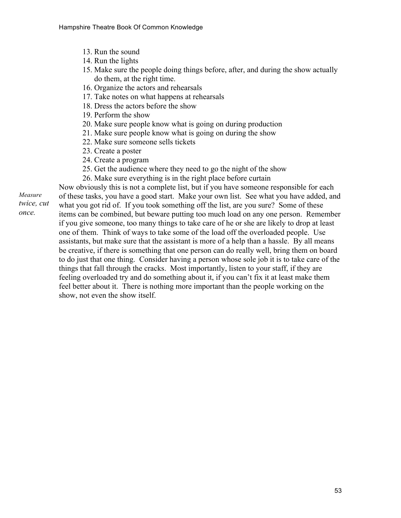- 13. Run the sound
- 14. Run the lights
- 15. Make sure the people doing things before, after, and during the show actually do them, at the right time.
- 16. Organize the actors and rehearsals
- 17. Take notes on what happens at rehearsals
- 18. Dress the actors before the show
- 19. Perform the show
- 20. Make sure people know what is going on during production
- 21. Make sure people know what is going on during the show
- 22. Make sure someone sells tickets
- 23. Create a poster
- 24. Create a program
- 25. Get the audience where they need to go the night of the show
- 26. Make sure everything is in the right place before curtain

Now obviously this is not a complete list, but if you have someone responsible for each of these tasks, you have a good start. Make your own list. See what you have added, and what you got rid of. If you took something off the list, are you sure? Some of these items can be combined, but beware putting too much load on any one person. Remember if you give someone, too many things to take care of he or she are likely to drop at least one of them. Think of ways to take some of the load off the overloaded people. Use assistants, but make sure that the assistant is more of a help than a hassle. By all means be creative, if there is something that one person can do really well, bring them on board to do just that one thing. Consider having a person whose sole job it is to take care of the things that fall through the cracks. Most importantly, listen to your staff, if they are feeling overloaded try and do something about it, if you can't fix it at least make them feel better about it. There is nothing more important than the people working on the show, not even the show itself.

*Measure twice, cut* 

*once.*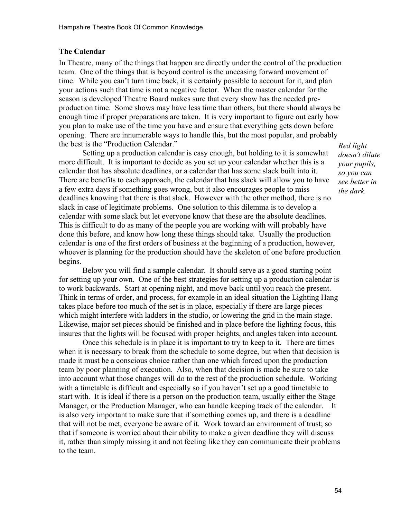#### **The Calendar**

In Theatre, many of the things that happen are directly under the control of the production team. One of the things that is beyond control is the unceasing forward movement of time. While you can't turn time back, it is certainly possible to account for it, and plan your actions such that time is not a negative factor. When the master calendar for the season is developed Theatre Board makes sure that every show has the needed preproduction time. Some shows may have less time than others, but there should always be enough time if proper preparations are taken. It is very important to figure out early how you plan to make use of the time you have and ensure that everything gets down before opening. There are innumerable ways to handle this, but the most popular, and probably the best is the "Production Calendar."

Setting up a production calendar is easy enough, but holding to it is somewhat more difficult. It is important to decide as you set up your calendar whether this is a calendar that has absolute deadlines, or a calendar that has some slack built into it. There are benefits to each approach, the calendar that has slack will allow you to have a few extra days if something goes wrong, but it also encourages people to miss deadlines knowing that there is that slack. However with the other method, there is no slack in case of legitimate problems. One solution to this dilemma is to develop a calendar with some slack but let everyone know that these are the absolute deadlines. This is difficult to do as many of the people you are working with will probably have done this before, and know how long these things should take. Usually the production calendar is one of the first orders of business at the beginning of a production, however, whoever is planning for the production should have the skeleton of one before production begins.

Below you will find a sample calendar. It should serve as a good starting point for setting up your own. One of the best strategies for setting up a production calendar is to work backwards. Start at opening night, and move back until you reach the present. Think in terms of order, and process, for example in an ideal situation the Lighting Hang takes place before too much of the set is in place, especially if there are large pieces which might interfere with ladders in the studio, or lowering the grid in the main stage. Likewise, major set pieces should be finished and in place before the lighting focus, this insures that the lights will be focused with proper heights, and angles taken into account.

Once this schedule is in place it is important to try to keep to it. There are times when it is necessary to break from the schedule to some degree, but when that decision is made it must be a conscious choice rather than one which forced upon the production team by poor planning of execution. Also, when that decision is made be sure to take into account what those changes will do to the rest of the production schedule. Working with a timetable is difficult and especially so if you haven't set up a good timetable to start with. It is ideal if there is a person on the production team, usually either the Stage Manager, or the Production Manager, who can handle keeping track of the calendar. It is also very important to make sure that if something comes up, and there is a deadline that will not be met, everyone be aware of it. Work toward an environment of trust; so that if someone is worried about their ability to make a given deadline they will discuss it, rather than simply missing it and not feeling like they can communicate their problems to the team.

*Red light doesn't dilate your pupils, so you can see better in the dark.*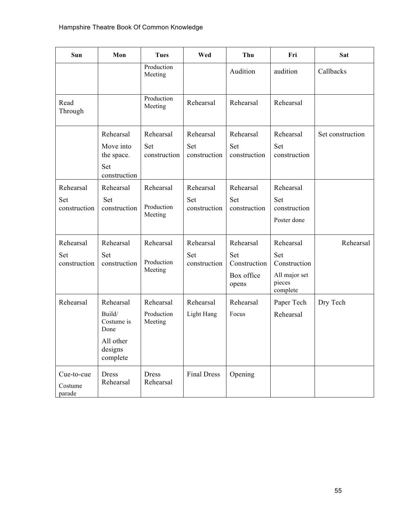| Sun                              | Mon                                                                           | <b>Tues</b>                        | Wed                              | Thu                                                     | Fri                                                                     | Sat              |
|----------------------------------|-------------------------------------------------------------------------------|------------------------------------|----------------------------------|---------------------------------------------------------|-------------------------------------------------------------------------|------------------|
|                                  |                                                                               | Production<br>Meeting              |                                  | Audition                                                | audition                                                                | Callbacks        |
| Read<br>Through                  |                                                                               | Production<br>Meeting              | Rehearsal                        | Rehearsal                                               | Rehearsal                                                               |                  |
|                                  | Rehearsal                                                                     | Rehearsal                          | Rehearsal                        | Rehearsal                                               | Rehearsal                                                               | Set construction |
|                                  | Move into<br>the space.<br>Set                                                | Set<br>construction                | Set<br>construction              | Set<br>construction                                     | Set<br>construction                                                     |                  |
|                                  | construction                                                                  |                                    |                                  |                                                         |                                                                         |                  |
| Rehearsal<br>Set<br>construction | Rehearsal<br>Set<br>construction                                              | Rehearsal<br>Production<br>Meeting | Rehearsal<br>Set<br>construction | Rehearsal<br>Set<br>construction                        | Rehearsal<br>Set<br>construction<br>Poster done                         |                  |
| Rehearsal<br>Set<br>construction | Rehearsal<br>Set<br>construction                                              | Rehearsal<br>Production<br>Meeting | Rehearsal<br>Set<br>construction | Rehearsal<br>Set<br>Construction<br>Box office<br>opens | Rehearsal<br>Set<br>Construction<br>All major set<br>pieces<br>complete | Rehearsal        |
| Rehearsal                        | Rehearsal<br>Build/<br>Costume is<br>Done<br>All other<br>designs<br>complete | Rehearsal<br>Production<br>Meeting | Rehearsal<br>Light Hang          | Rehearsal<br>Focus                                      | Paper Tech<br>Rehearsal                                                 | Dry Tech         |
| Cue-to-cue<br>Costume<br>parade  | <b>Dress</b><br>Rehearsal                                                     | <b>Dress</b><br>Rehearsal          | <b>Final Dress</b>               | Opening                                                 |                                                                         |                  |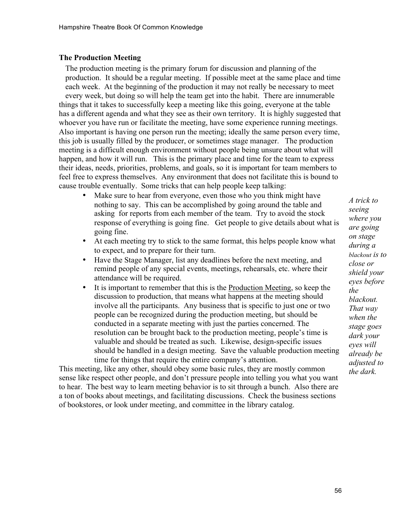#### **The Production Meeting**

The production meeting is the primary forum for discussion and planning of the production. It should be a regular meeting. If possible meet at the same place and time each week. At the beginning of the production it may not really be necessary to meet every week, but doing so will help the team get into the habit. There are innumerable things that it takes to successfully keep a meeting like this going, everyone at the table has a different agenda and what they see as their own territory. It is highly suggested that whoever you have run or facilitate the meeting, have some experience running meetings. Also important is having one person run the meeting; ideally the same person every time, this job is usually filled by the producer, or sometimes stage manager. The production meeting is a difficult enough environment without people being unsure about what will happen, and how it will run. This is the primary place and time for the team to express their ideas, needs, priorities, problems, and goals, so it is important for team members to feel free to express themselves. Any environment that does not facilitate this is bound to cause trouble eventually. Some tricks that can help people keep talking:

- Make sure to hear from everyone, even those who you think might have nothing to say. This can be accomplished by going around the table and asking for reports from each member of the team. Try to avoid the stock response of everything is going fine. Get people to give details about what is going fine.
- At each meeting try to stick to the same format, this helps people know what to expect, and to prepare for their turn.
- Have the Stage Manager, list any deadlines before the next meeting, and remind people of any special events, meetings, rehearsals, etc. where their attendance will be required.
- It is important to remember that this is the Production Meeting, so keep the discussion to production, that means what happens at the meeting should involve all the participants. Any business that is specific to just one or two people can be recognized during the production meeting, but should be conducted in a separate meeting with just the parties concerned. The resolution can be brought back to the production meeting, people's time is valuable and should be treated as such. Likewise, design-specific issues should be handled in a design meeting. Save the valuable production meeting time for things that require the entire company's attention.

This meeting, like any other, should obey some basic rules, they are mostly common sense like respect other people, and don't pressure people into telling you what you want to hear. The best way to learn meeting behavior is to sit through a bunch. Also there are a ton of books about meetings, and facilitating discussions. Check the business sections of bookstores, or look under meeting, and committee in the library catalog.

*A trick to seeing where you are going on stage during a blackout is to close or shield your eyes before the blackout. That way when the stage goes dark your eyes will already be adjusted to the dark.*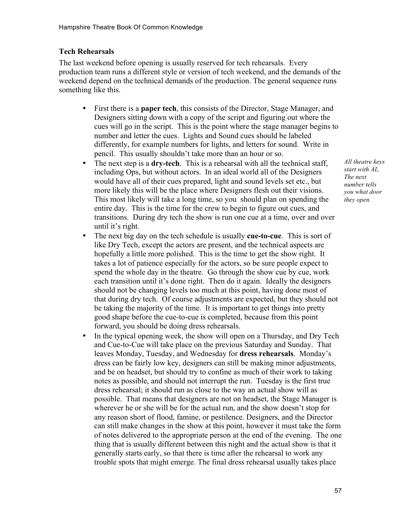# **Tech Rehearsals**

The last weekend before opening is usually reserved for tech rehearsals. Every production team runs a different style or version of tech weekend, and the demands of the weekend depend on the technical demands of the production. The general sequence runs something like this.

- First there is a **paper tech**, this consists of the Director, Stage Manager, and Designers sitting down with a copy of the script and figuring out where the cues will go in the script. This is the point where the stage manager begins to number and letter the cues. Lights and Sound cues should be labeled differently, for example numbers for lights, and letters for sound. Write in pencil. This usually shouldn't take more than an hour or so.
- The next step is a **dry-tech**. This is a rehearsal with all the technical staff, including Ops, but without actors. In an ideal world all of the Designers would have all of their cues prepared, light and sound levels set etc., but more likely this will be the place where Designers flesh out their visions. This most likely will take a long time, so you should plan on spending the entire day. This is the time for the crew to begin to figure out cues, and transitions. During dry tech the show is run one cue at a time, over and over until it's right.
- The next big day on the tech schedule is usually **cue-to-cue**. This is sort of like Dry Tech, except the actors are present, and the technical aspects are hopefully a little more polished. This is the time to get the show right. It takes a lot of patience especially for the actors, so be sure people expect to spend the whole day in the theatre. Go through the show cue by cue, work each transition until it's done right. Then do it again. Ideally the designers should not be changing levels too much at this point, having done most of that during dry tech. Of course adjustments are expected, but they should not be taking the majority of the time. It is important to get things into pretty good shape before the cue-to-cue is completed, because from this point forward, you should be doing dress rehearsals.
- In the typical opening week, the show will open on a Thursday, and Dry Tech and Cue-to-Cue will take place on the previous Saturday and Sunday. That leaves Monday, Tuesday, and Wednesday for **dress rehearsals**. Monday's dress can be fairly low key, designers can still be making minor adjustments, and be on headset, but should try to confine as much of their work to taking notes as possible, and should not interrupt the run. Tuesday is the first true dress rehearsal; it should run as close to the way an actual show will as possible. That means that designers are not on headset, the Stage Manager is wherever he or she will be for the actual run, and the show doesn't stop for any reason short of flood, famine, or pestilence. Designers, and the Director can still make changes in the show at this point, however it must take the form of notes delivered to the appropriate person at the end of the evening. The one thing that is usually different between this night and the actual show is that it generally starts early, so that there is time after the rehearsal to work any trouble spots that might emerge. The final dress rehearsal usually takes place

*All theatre keys start with AL. The next number tells you what door they open.*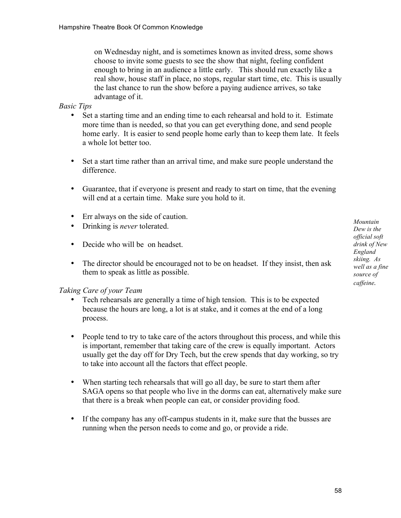on Wednesday night, and is sometimes known as invited dress, some shows choose to invite some guests to see the show that night, feeling confident enough to bring in an audience a little early. This should run exactly like a real show, house staff in place, no stops, regular start time, etc. This is usually the last chance to run the show before a paying audience arrives, so take advantage of it.

## *Basic Tips*

- Set a starting time and an ending time to each rehearsal and hold to it. Estimate more time than is needed, so that you can get everything done, and send people home early. It is easier to send people home early than to keep them late. It feels a whole lot better too.
- Set a start time rather than an arrival time, and make sure people understand the difference.
- Guarantee, that if everyone is present and ready to start on time, that the evening will end at a certain time. Make sure you hold to it.
- Err always on the side of caution.
- Drinking is *never* tolerated.
- Decide who will be on headset.
- The director should be encouraged not to be on headset. If they insist, then ask them to speak as little as possible.

#### *Taking Care of your Team*

- Tech rehearsals are generally a time of high tension. This is to be expected because the hours are long, a lot is at stake, and it comes at the end of a long process.
- People tend to try to take care of the actors throughout this process, and while this is important, remember that taking care of the crew is equally important. Actors usually get the day off for Dry Tech, but the crew spends that day working, so try to take into account all the factors that effect people.
- When starting tech rehearsals that will go all day, be sure to start them after SAGA opens so that people who live in the dorms can eat, alternatively make sure that there is a break when people can eat, or consider providing food.
- If the company has any off-campus students in it, make sure that the busses are running when the person needs to come and go, or provide a ride.

*Mountain Dew is the official soft drink of New England skiing. As well as a fine source of caffeine.*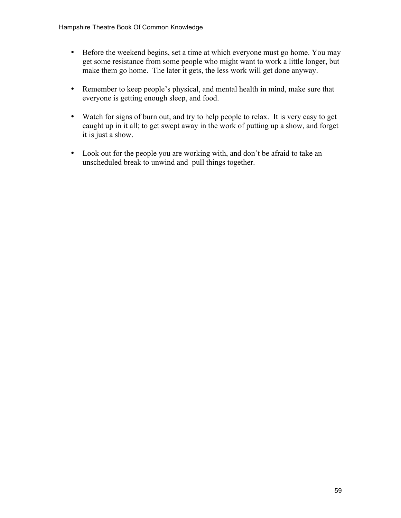- Before the weekend begins, set a time at which everyone must go home. You may get some resistance from some people who might want to work a little longer, but make them go home. The later it gets, the less work will get done anyway.
- Remember to keep people's physical, and mental health in mind, make sure that everyone is getting enough sleep, and food.
- Watch for signs of burn out, and try to help people to relax. It is very easy to get caught up in it all; to get swept away in the work of putting up a show, and forget it is just a show.
- Look out for the people you are working with, and don't be afraid to take an unscheduled break to unwind and pull things together.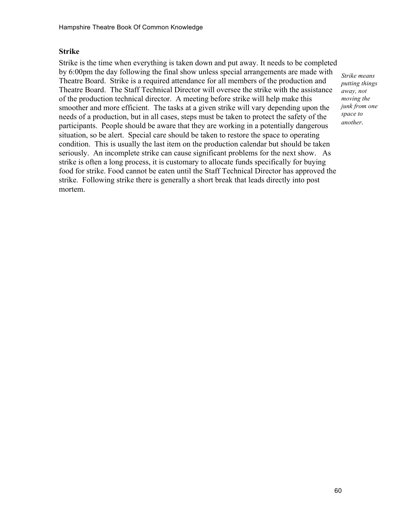# **Strike**

Strike is the time when everything is taken down and put away. It needs to be completed by 6:00pm the day following the final show unless special arrangements are made with Theatre Board. Strike is a required attendance for all members of the production and Theatre Board. The Staff Technical Director will oversee the strike with the assistance of the production technical director. A meeting before strike will help make this smoother and more efficient. The tasks at a given strike will vary depending upon the needs of a production, but in all cases, steps must be taken to protect the safety of the participants. People should be aware that they are working in a potentially dangerous situation, so be alert. Special care should be taken to restore the space to operating condition. This is usually the last item on the production calendar but should be taken seriously. An incomplete strike can cause significant problems for the next show. As strike is often a long process, it is customary to allocate funds specifically for buying food for strike. Food cannot be eaten until the Staff Technical Director has approved the strike. Following strike there is generally a short break that leads directly into post mortem.

*Strike means putting things away, not moving the junk from one space to another.*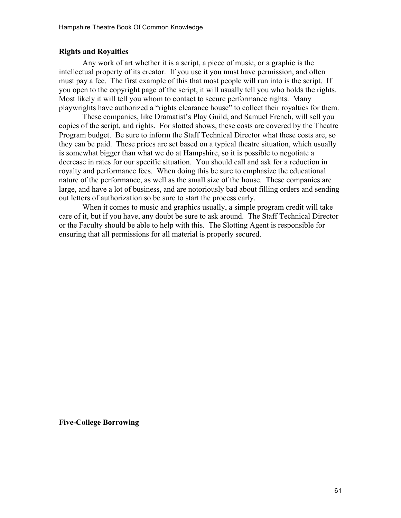#### **Rights and Royalties**

Any work of art whether it is a script, a piece of music, or a graphic is the intellectual property of its creator. If you use it you must have permission, and often must pay a fee. The first example of this that most people will run into is the script. If you open to the copyright page of the script, it will usually tell you who holds the rights. Most likely it will tell you whom to contact to secure performance rights. Many playwrights have authorized a "rights clearance house" to collect their royalties for them.

These companies, like Dramatist's Play Guild, and Samuel French, will sell you copies of the script, and rights. For slotted shows, these costs are covered by the Theatre Program budget. Be sure to inform the Staff Technical Director what these costs are, so they can be paid. These prices are set based on a typical theatre situation, which usually is somewhat bigger than what we do at Hampshire, so it is possible to negotiate a decrease in rates for our specific situation. You should call and ask for a reduction in royalty and performance fees. When doing this be sure to emphasize the educational nature of the performance, as well as the small size of the house. These companies are large, and have a lot of business, and are notoriously bad about filling orders and sending out letters of authorization so be sure to start the process early.

When it comes to music and graphics usually, a simple program credit will take care of it, but if you have, any doubt be sure to ask around. The Staff Technical Director or the Faculty should be able to help with this. The Slotting Agent is responsible for ensuring that all permissions for all material is properly secured.

**Five-College Borrowing**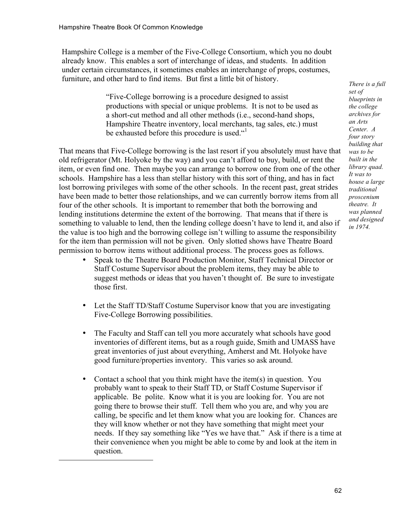l

Hampshire College is a member of the Five-College Consortium, which you no doubt already know. This enables a sort of interchange of ideas, and students. In addition under certain circumstances, it sometimes enables an interchange of props, costumes, furniture, and other hard to find items. But first a little bit of history.

> "Five-College borrowing is a procedure designed to assist productions with special or unique problems. It is not to be used as a short-cut method and all other methods (i.e., second-hand shops, Hampshire Theatre inventory, local merchants, tag sales, etc.) must be exhausted before this procedure is used."

That means that Five-College borrowing is the last resort if you absolutely must have that old refrigerator (Mt. Holyoke by the way) and you can't afford to buy, build, or rent the item, or even find one. Then maybe you can arrange to borrow one from one of the other schools. Hampshire has a less than stellar history with this sort of thing, and has in fact lost borrowing privileges with some of the other schools. In the recent past, great strides have been made to better those relationships, and we can currently borrow items from all four of the other schools. It is important to remember that both the borrowing and lending institutions determine the extent of the borrowing. That means that if there is something to valuable to lend, then the lending college doesn't have to lend it, and also if the value is too high and the borrowing college isn't willing to assume the responsibility for the item than permission will not be given. Only slotted shows have Theatre Board permission to borrow items without additional process. The process goes as follows.

- Speak to the Theatre Board Production Monitor, Staff Technical Director or Staff Costume Supervisor about the problem items, they may be able to suggest methods or ideas that you haven't thought of. Be sure to investigate those first.
- Let the Staff TD/Staff Costume Supervisor know that you are investigating Five-College Borrowing possibilities.
- The Faculty and Staff can tell you more accurately what schools have good inventories of different items, but as a rough guide, Smith and UMASS have great inventories of just about everything, Amherst and Mt. Holyoke have good furniture/properties inventory. This varies so ask around.
- Contact a school that you think might have the item(s) in question. You probably want to speak to their Staff TD, or Staff Costume Supervisor if applicable. Be polite. Know what it is you are looking for. You are not going there to browse their stuff. Tell them who you are, and why you are calling, be specific and let them know what you are looking for. Chances are they will know whether or not they have something that might meet your needs. If they say something like "Yes we have that." Ask if there is a time at their convenience when you might be able to come by and look at the item in question.

*There is a full set of blueprints in the college archives for an Arts Center. A four story building that was to be built in the library quad. It was to house a large traditional proscenium theatre. It was planned and designed in 1974.*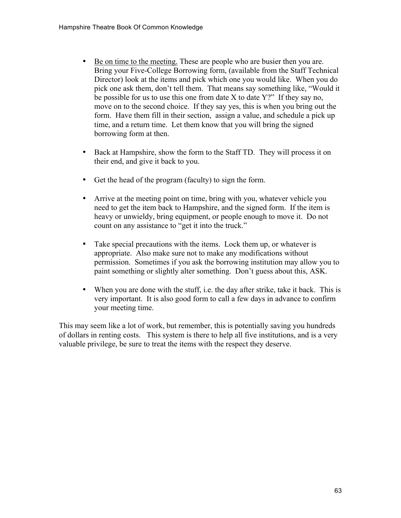- Be on time to the meeting. These are people who are busier then you are. Bring your Five-College Borrowing form, (available from the Staff Technical Director) look at the items and pick which one you would like. When you do pick one ask them, don't tell them. That means say something like, "Would it be possible for us to use this one from date X to date Y?" If they say no, move on to the second choice. If they say yes, this is when you bring out the form. Have them fill in their section, assign a value, and schedule a pick up time, and a return time. Let them know that you will bring the signed borrowing form at then.
- Back at Hampshire, show the form to the Staff TD. They will process it on their end, and give it back to you.
- Get the head of the program (faculty) to sign the form.
- Arrive at the meeting point on time, bring with you, whatever vehicle you need to get the item back to Hampshire, and the signed form. If the item is heavy or unwieldy, bring equipment, or people enough to move it. Do not count on any assistance to "get it into the truck."
- Take special precautions with the items. Lock them up, or whatever is appropriate. Also make sure not to make any modifications without permission. Sometimes if you ask the borrowing institution may allow you to paint something or slightly alter something. Don't guess about this, ASK.
- When you are done with the stuff, i.e. the day after strike, take it back. This is very important. It is also good form to call a few days in advance to confirm your meeting time.

This may seem like a lot of work, but remember, this is potentially saving you hundreds of dollars in renting costs. This system is there to help all five institutions, and is a very valuable privilege, be sure to treat the items with the respect they deserve.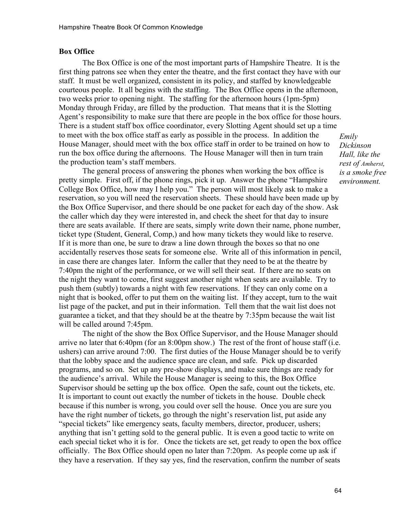#### **Box Office**

The Box Office is one of the most important parts of Hampshire Theatre. It is the first thing patrons see when they enter the theatre, and the first contact they have with our staff. It must be well organized, consistent in its policy, and staffed by knowledgeable courteous people. It all begins with the staffing. The Box Office opens in the afternoon, two weeks prior to opening night. The staffing for the afternoon hours (1pm-5pm) Monday through Friday, are filled by the production. That means that it is the Slotting Agent's responsibility to make sure that there are people in the box office for those hours. There is a student staff box office coordinator, every Slotting Agent should set up a time to meet with the box office staff as early as possible in the process. In addition the House Manager, should meet with the box office staff in order to be trained on how to run the box office during the afternoons. The House Manager will then in turn train the production team's staff members.

The general process of answering the phones when working the box office is pretty simple. First off, if the phone rings, pick it up. Answer the phone "Hampshire College Box Office, how may I help you." The person will most likely ask to make a reservation, so you will need the reservation sheets. These should have been made up by the Box Office Supervisor, and there should be one packet for each day of the show. Ask the caller which day they were interested in, and check the sheet for that day to insure there are seats available. If there are seats, simply write down their name, phone number, ticket type (Student, General, Comp,) and how many tickets they would like to reserve. If it is more than one, be sure to draw a line down through the boxes so that no one accidentally reserves those seats for someone else. Write all of this information in pencil, in case there are changes later. Inform the caller that they need to be at the theatre by 7:40pm the night of the performance, or we will sell their seat. If there are no seats on the night they want to come, first suggest another night when seats are available. Try to push them (subtly) towards a night with few reservations. If they can only come on a night that is booked, offer to put them on the waiting list. If they accept, turn to the wait list page of the packet, and put in their information. Tell them that the wait list does not guarantee a ticket, and that they should be at the theatre by 7:35pm because the wait list will be called around 7:45pm.

The night of the show the Box Office Supervisor, and the House Manager should arrive no later that 6:40pm (for an 8:00pm show.) The rest of the front of house staff (i.e. ushers) can arrive around 7:00. The first duties of the House Manager should be to verify that the lobby space and the audience space are clean, and safe. Pick up discarded programs, and so on. Set up any pre-show displays, and make sure things are ready for the audience's arrival. While the House Manager is seeing to this, the Box Office Supervisor should be setting up the box office. Open the safe, count out the tickets, etc. It is important to count out exactly the number of tickets in the house. Double check because if this number is wrong, you could over sell the house. Once you are sure you have the right number of tickets, go through the night's reservation list, put aside any "special tickets" like emergency seats, faculty members, director, producer, ushers; anything that isn't getting sold to the general public. It is even a good tactic to write on each special ticket who it is for. Once the tickets are set, get ready to open the box office officially. The Box Office should open no later than 7:20pm. As people come up ask if they have a reservation. If they say yes, find the reservation, confirm the number of seats

*Emily Dickinson Hall, like the rest of Amherst, is a smoke free environment.*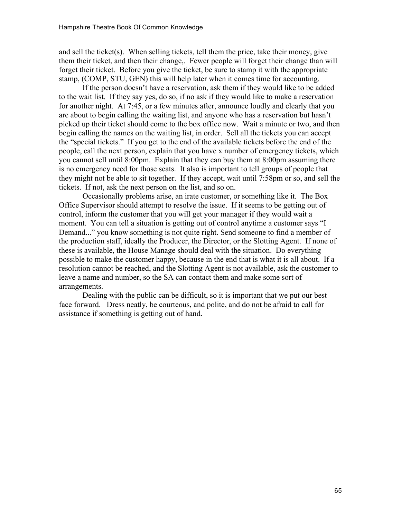and sell the ticket(s). When selling tickets, tell them the price, take their money, give them their ticket, and then their change,. Fewer people will forget their change than will forget their ticket. Before you give the ticket, be sure to stamp it with the appropriate stamp, (COMP, STU, GEN) this will help later when it comes time for accounting.

If the person doesn't have a reservation, ask them if they would like to be added to the wait list. If they say yes, do so, if no ask if they would like to make a reservation for another night. At 7:45, or a few minutes after, announce loudly and clearly that you are about to begin calling the waiting list, and anyone who has a reservation but hasn't picked up their ticket should come to the box office now. Wait a minute or two, and then begin calling the names on the waiting list, in order. Sell all the tickets you can accept the "special tickets." If you get to the end of the available tickets before the end of the people, call the next person, explain that you have x number of emergency tickets, which you cannot sell until 8:00pm. Explain that they can buy them at 8:00pm assuming there is no emergency need for those seats. It also is important to tell groups of people that they might not be able to sit together. If they accept, wait until 7:58pm or so, and sell the tickets. If not, ask the next person on the list, and so on.

Occasionally problems arise, an irate customer, or something like it. The Box Office Supervisor should attempt to resolve the issue. If it seems to be getting out of control, inform the customer that you will get your manager if they would wait a moment. You can tell a situation is getting out of control anytime a customer says "I Demand..." you know something is not quite right. Send someone to find a member of the production staff, ideally the Producer, the Director, or the Slotting Agent. If none of these is available, the House Manage should deal with the situation. Do everything possible to make the customer happy, because in the end that is what it is all about. If a resolution cannot be reached, and the Slotting Agent is not available, ask the customer to leave a name and number, so the SA can contact them and make some sort of arrangements.

Dealing with the public can be difficult, so it is important that we put our best face forward. Dress neatly, be courteous, and polite, and do not be afraid to call for assistance if something is getting out of hand.